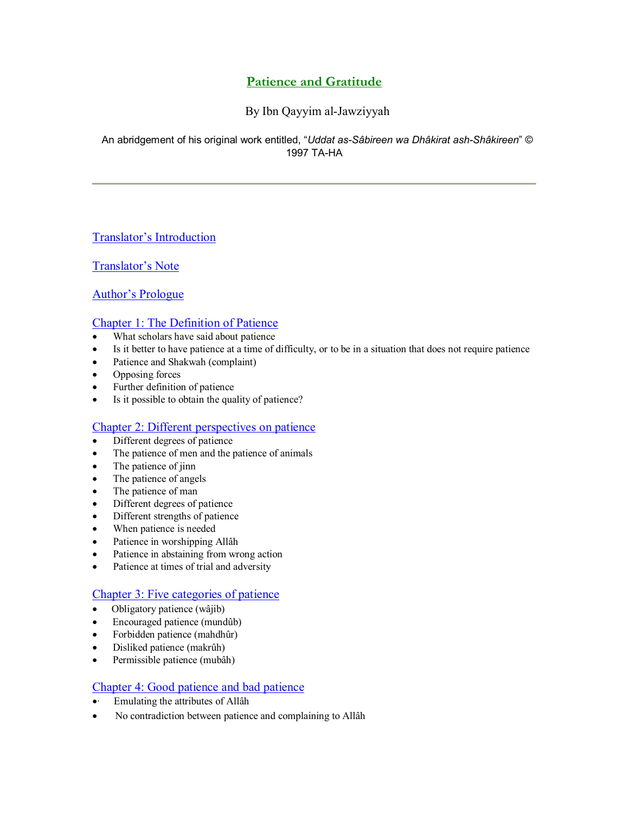# **Patience and Gratitude**

# By Ibn Qayyim al-Jawziyyah

### An abridgement of his original work entitled, "*Uddat as-Sâbireen wa Dhâkirat ash-Shâkireen*" © 1997 TA-HA

Translator's Introduction

Translator's Note

### Author's Prologue

### Chapter 1: The Definition of Patience

- · What scholars have said about patience
- · Is it better to have patience at a time of difficulty, or to be in a situation that does not require patience
- · Patience and Shakwah (complaint)
- Opposing forces
- · Further definition of patience
- Is it possible to obtain the quality of patience?

### Chapter 2: Different perspectives on patience

- · Different degrees of patience
- The patience of men and the patience of animals
- The patience of jinn
- The patience of angels
- The patience of man
- · Different degrees of patience
- · Different strengths of patience
- · When patience is needed
- Patience in worshipping Allâh
- · Patience in abstaining from wrong action
- · Patience at times of trial and adversity

#### Chapter 3: Five categories of patience

- · Obligatory patience (wâjib)
- · Encouraged patience (mundûb)
- · Forbidden patience (mahdhûr)
- · Disliked patience (makrûh)
- · Permissible patience (mubâh)

### Chapter 4: Good patience and bad patience

- ·· Emulating the attributes of Allâh
- No contradiction between patience and complaining to Allâh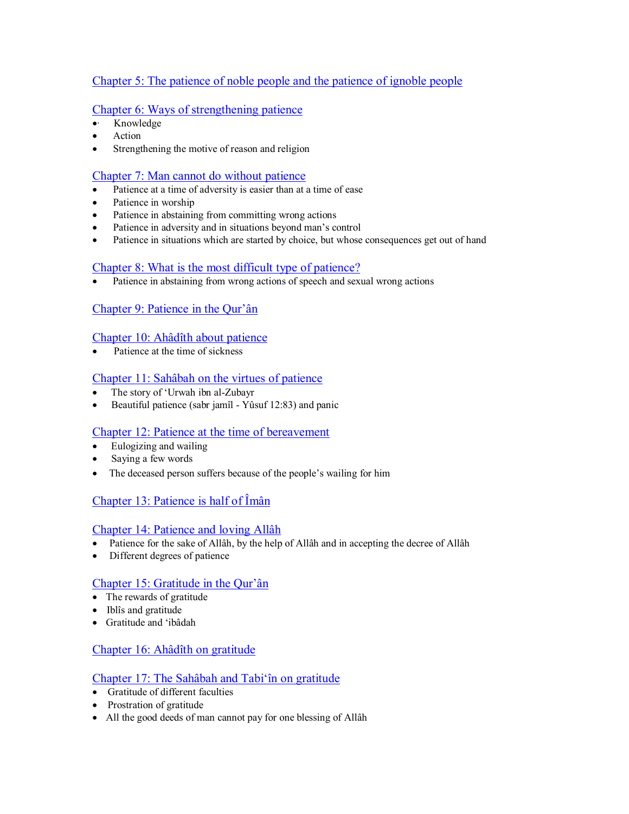# Chapter 5: The patience of noble people and the patience of ignoble people

### Chapter 6: Ways of strengthening patience

- ·· Knowledge
- Action
- Strengthening the motive of reason and religion

#### Chapter 7: Man cannot do without patience

- Patience at a time of adversity is easier than at a time of ease
- Patience in worship
- Patience in abstaining from committing wrong actions
- · Patience in adversity and in situations beyond man's control
- · Patience in situations which are started by choice, but whose consequences get out of hand

### Chapter 8: What is the most difficult type of patience?

Patience in abstaining from wrong actions of speech and sexual wrong actions

### Chapter 9: Patience in the Qur'ân

#### Chapter 10: Ahâdîth about patience

Patience at the time of sickness

### Chapter 11: Sahâbah on the virtues of patience

- The story of 'Urwah ibn al-Zubayr
- · Beautiful patience (sabr jamîl Yûsuf 12:83) and panic

### Chapter 12: Patience at the time of bereavement

- Eulogizing and wailing
- Saying a few words
- · The deceased person suffers because of the people's wailing for him

# Chapter 13: Patience is half of Îmân

#### Chapter 14: Patience and loving Allâh

- Patience for the sake of Allâh, by the help of Allâh and in accepting the decree of Allâh
- · Different degrees of patience

#### Chapter 15: Gratitude in the Qur'ân

- The rewards of gratitude
- · Iblîs and gratitude
- · Gratitude and 'ibâdah

### Chapter 16: Ahâdîth on gratitude

#### Chapter 17: The Sahâbah and Tabi'în on gratitude

- · Gratitude of different faculties
- · Prostration of gratitude
- · All the good deeds of man cannot pay for one blessing of Allâh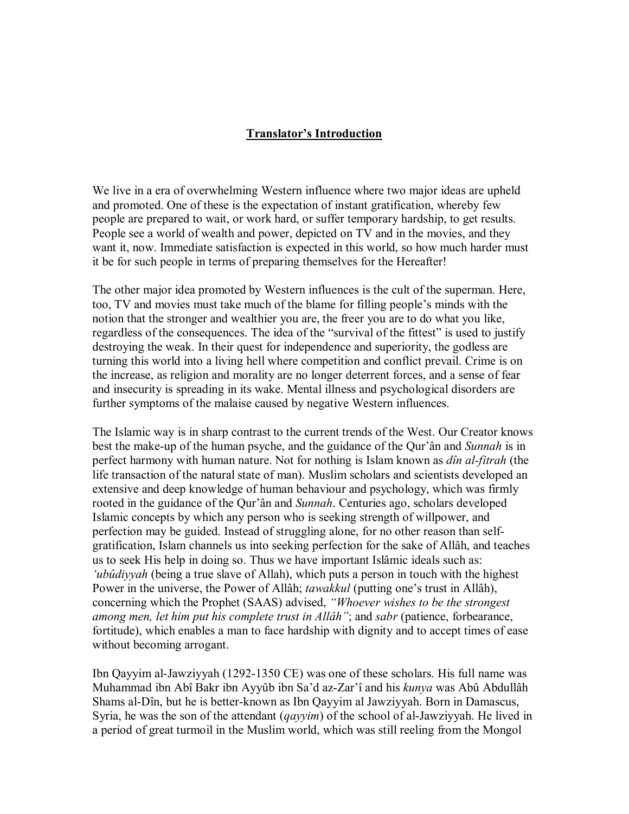### **Translator's Introduction**

We live in a era of overwhelming Western influence where two major ideas are upheld and promoted. One of these is the expectation of instant gratification, whereby few people are prepared to wait, or work hard, or suffer temporary hardship, to get results. People see a world of wealth and power, depicted on TV and in the movies, and they want it, now. Immediate satisfaction is expected in this world, so how much harder must it be for such people in terms of preparing themselves for the Hereafter!

The other major idea promoted by Western influences is the cult of the superman. Here, too, TV and movies must take much of the blame for filling people's minds with the notion that the stronger and wealthier you are, the freer you are to do what you like, regardless of the consequences. The idea of the "survival of the fittest" is used to justify destroying the weak. In their quest for independence and superiority, the godless are turning this world into a living hell where competition and conflict prevail. Crime is on the increase, as religion and morality are no longer deterrent forces, and a sense of fear and insecurity is spreading in its wake. Mental illness and psychological disorders are further symptoms of the malaise caused by negative Western influences.

The Islamic way is in sharp contrast to the current trends of the West. Our Creator knows best the make-up of the human psyche, and the guidance of the Qur'ân and *Sunnah* is in perfect harmony with human nature. Not for nothing is Islam known as *dîn al-fitrah* (the life transaction of the natural state of man). Muslim scholars and scientists developed an extensive and deep knowledge of human behaviour and psychology, which was firmly rooted in the guidance of the Qur'ân and *Sunnah*. Centuries ago, scholars developed Islamic concepts by which any person who is seeking strength of willpower, and perfection may be guided. Instead of struggling alone, for no other reason than selfgratification, Islam channels us into seeking perfection for the sake of Allâh, and teaches us to seek His help in doing so. Thus we have important Islâmic ideals such as: *'ubûdiyyah* (being a true slave of Allah), which puts a person in touch with the highest Power in the universe, the Power of Allâh; *tawakkul* (putting one's trust in Allâh), concerning which the Prophet (SAAS) advised, *"Whoever wishes to be the strongest among men, let him put his complete trust in Allâh"*; and *sabr* (patience, forbearance, fortitude), which enables a man to face hardship with dignity and to accept times of ease without becoming arrogant.

Ibn Qayyim al-Jawziyyah (1292-1350 CE) was one of these scholars. His full name was Muhammad ibn Abî Bakr ibn Ayyûb ibn Sa'd az-Zar'î and his *kunya* was Abû Abdullâh Shams al-Dîn, but he is better-known as Ibn Qayyim al Jawziyyah. Born in Damascus, Syria, he was the son of the attendant (*qayyim*) of the school of al-Jawziyyah. He lived in a period of great turmoil in the Muslim world, which was still reeling from the Mongol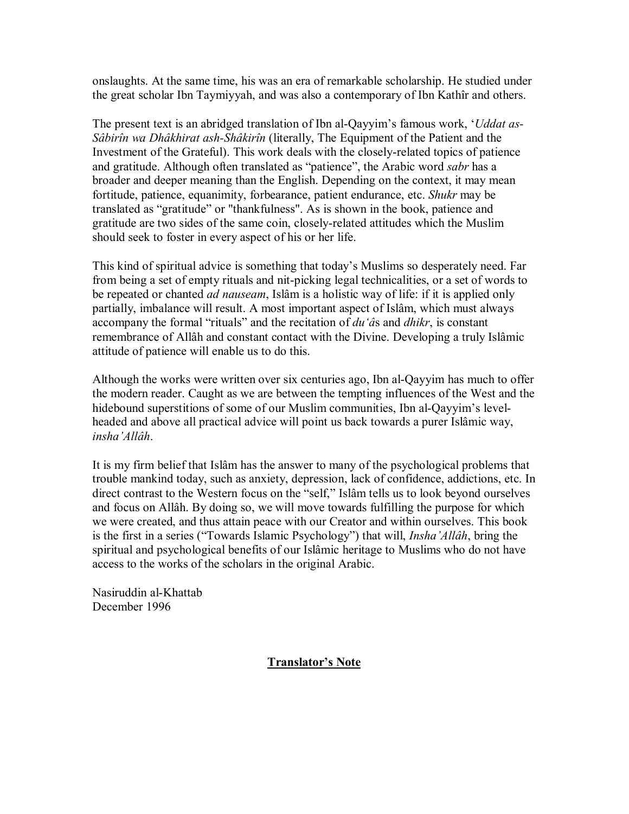onslaughts. At the same time, his was an era of remarkable scholarship. He studied under the great scholar Ibn Taymiyyah, and was also a contemporary of Ibn Kathîr and others.

The present text is an abridged translation of Ibn al-Qayyim's famous work, '*Uddat as-Sâbirîn wa Dhâkhirat ash-Shâkirîn* (literally, The Equipment of the Patient and the Investment of the Grateful). This work deals with the closely-related topics of patience and gratitude. Although often translated as "patience", the Arabic word *sabr* has a broader and deeper meaning than the English. Depending on the context, it may mean fortitude, patience, equanimity, forbearance, patient endurance, etc. *Shukr* may be translated as "gratitude" or "thankfulness". As is shown in the book, patience and gratitude are two sides of the same coin, closely-related attitudes which the Muslim should seek to foster in every aspect of his or her life.

This kind of spiritual advice is something that today's Muslims so desperately need. Far from being a set of empty rituals and nit-picking legal technicalities, or a set of words to be repeated or chanted *ad nauseam*, Islâm is a holistic way of life: if it is applied only partially, imbalance will result. A most important aspect of Islâm, which must always accompany the formal "rituals" and the recitation of *du'â*s and *dhikr*, is constant remembrance of Allâh and constant contact with the Divine. Developing a truly Islâmic attitude of patience will enable us to do this.

Although the works were written over six centuries ago, Ibn al-Qayyim has much to offer the modern reader. Caught as we are between the tempting influences of the West and the hidebound superstitions of some of our Muslim communities, Ibn al-Qayyim's levelheaded and above all practical advice will point us back towards a purer Islâmic way, *insha'Allâh*.

It is my firm belief that Islâm has the answer to many of the psychological problems that trouble mankind today, such as anxiety, depression, lack of confidence, addictions, etc. In direct contrast to the Western focus on the "self," Islâm tells us to look beyond ourselves and focus on Allâh. By doing so, we will move towards fulfilling the purpose for which we were created, and thus attain peace with our Creator and within ourselves. This book is the first in a series ("Towards Islamic Psychology") that will, *Insha'Allâh*, bring the spiritual and psychological benefits of our Islâmic heritage to Muslims who do not have access to the works of the scholars in the original Arabic.

Nasiruddin al-Khattab December 1996

# **Translator's Note**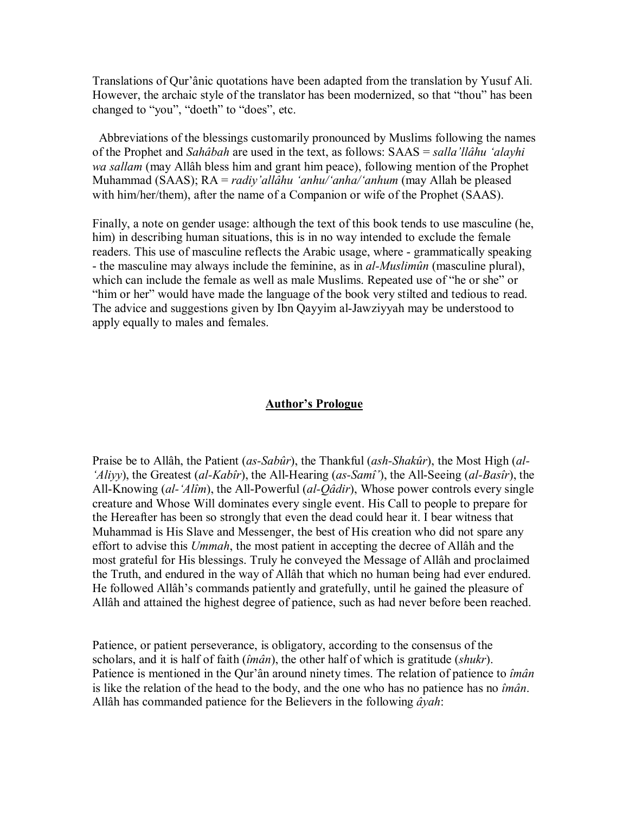Translations of Qur'ânic quotations have been adapted from the translation by Yusuf Ali. However, the archaic style of the translator has been modernized, so that "thou" has been changed to "you", "doeth" to "does", etc.

 Abbreviations of the blessings customarily pronounced by Muslims following the names of the Prophet and *Sahâbah* are used in the text, as follows: SAAS = *salla'llâhu 'alayhi wa sallam* (may Allâh bless him and grant him peace), following mention of the Prophet Muhammad (SAAS); RA = *radiy'allâhu 'anhu/'anha/'anhum* (may Allah be pleased with him/her/them), after the name of a Companion or wife of the Prophet (SAAS).

Finally, a note on gender usage: although the text of this book tends to use masculine (he, him) in describing human situations, this is in no way intended to exclude the female readers. This use of masculine reflects the Arabic usage, where - grammatically speaking - the masculine may always include the feminine, as in *al-Muslimûn* (masculine plural), which can include the female as well as male Muslims. Repeated use of "he or she" or "him or her" would have made the language of the book very stilted and tedious to read. The advice and suggestions given by Ibn Qayyim al-Jawziyyah may be understood to apply equally to males and females.

### **Author's Prologue**

Praise be to Allâh, the Patient (*as-Sabûr*), the Thankful (*ash-Shakûr*), the Most High (*al- 'Aliyy*), the Greatest (*al-Kabîr*), the All-Hearing (*as-Samî'*), the All-Seeing (*al-Basîr*), the All-Knowing (*al-'Alîm*), the All-Powerful (*al-Qâdir*), Whose power controls every single creature and Whose Will dominates every single event. His Call to people to prepare for the Hereafter has been so strongly that even the dead could hear it. I bear witness that Muhammad is His Slave and Messenger, the best of His creation who did not spare any effort to advise this *Ummah*, the most patient in accepting the decree of Allâh and the most grateful for His blessings. Truly he conveyed the Message of Allâh and proclaimed the Truth, and endured in the way of Allâh that which no human being had ever endured. He followed Allâh's commands patiently and gratefully, until he gained the pleasure of Allâh and attained the highest degree of patience, such as had never before been reached.

Patience, or patient perseverance, is obligatory, according to the consensus of the scholars, and it is half of faith (*îmân*), the other half of which is gratitude (*shukr*). Patience is mentioned in the Qur'ân around ninety times. The relation of patience to *îmân* is like the relation of the head to the body, and the one who has no patience has no *îmân*. Allâh has commanded patience for the Believers in the following *âyah*: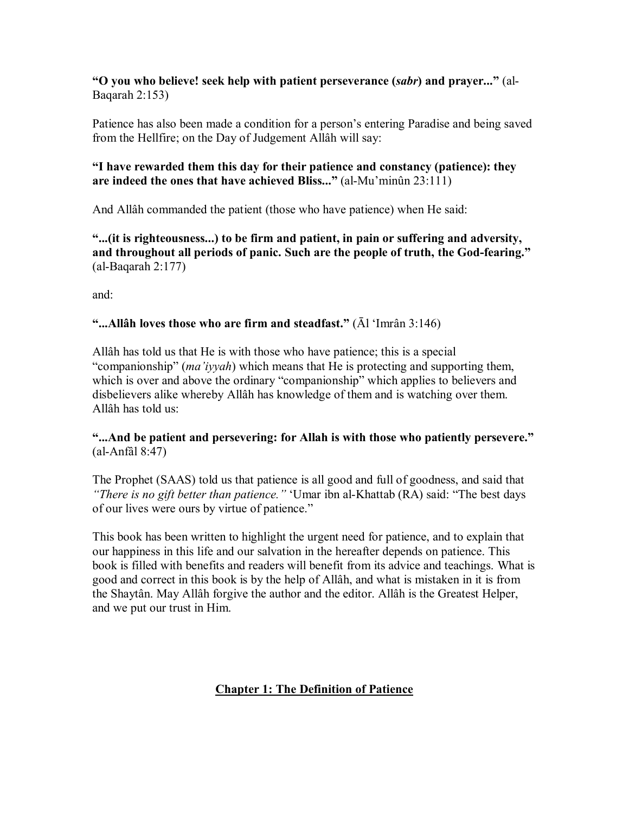# **"O you who believe! seek help with patient perseverance (***sabr***) and prayer..."** (al-Baqarah 2:153)

Patience has also been made a condition for a person's entering Paradise and being saved from the Hellfire; on the Day of Judgement Allâh will say:

# **"I have rewarded them this day for their patience and constancy (patience): they are indeed the ones that have achieved Bliss..."** (al-Mu'minûn 23:111)

And Allâh commanded the patient (those who have patience) when He said:

**"...(it is righteousness...) to be firm and patient, in pain or suffering and adversity, and throughout all periods of panic. Such are the people of truth, the God-fearing."** (al-Baqarah 2:177)

and:

# **"...Allâh loves those who are firm and steadfast."** (Āl 'Imrân 3:146)

Allâh has told us that He is with those who have patience; this is a special "companionship" (*ma'iyyah*) which means that He is protecting and supporting them, which is over and above the ordinary "companionship" which applies to believers and disbelievers alike whereby Allâh has knowledge of them and is watching over them. Allâh has told us:

# **"...And be patient and persevering: for Allah is with those who patiently persevere."** (al-Anfâl 8:47)

The Prophet (SAAS) told us that patience is all good and full of goodness, and said that *"There is no gift better than patience."* 'Umar ibn al-Khattab (RA) said: "The best days of our lives were ours by virtue of patience."

This book has been written to highlight the urgent need for patience, and to explain that our happiness in this life and our salvation in the hereafter depends on patience. This book is filled with benefits and readers will benefit from its advice and teachings. What is good and correct in this book is by the help of Allâh, and what is mistaken in it is from the Shaytân. May Allâh forgive the author and the editor. Allâh is the Greatest Helper, and we put our trust in Him.

# **Chapter 1: The Definition of Patience**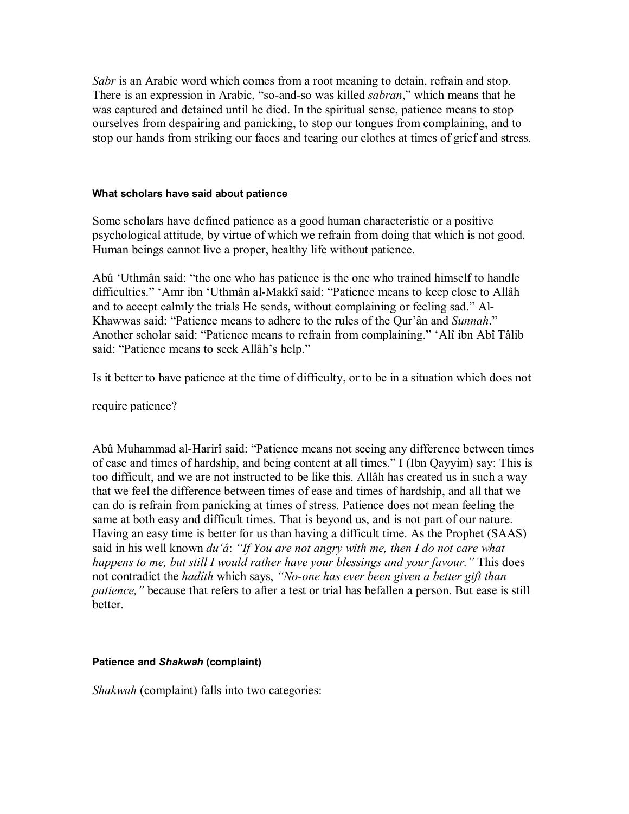*Sabr* is an Arabic word which comes from a root meaning to detain, refrain and stop. There is an expression in Arabic, "so-and-so was killed *sabran*," which means that he was captured and detained until he died. In the spiritual sense, patience means to stop ourselves from despairing and panicking, to stop our tongues from complaining, and to stop our hands from striking our faces and tearing our clothes at times of grief and stress.

#### **What scholars have said about patience**

Some scholars have defined patience as a good human characteristic or a positive psychological attitude, by virtue of which we refrain from doing that which is not good. Human beings cannot live a proper, healthy life without patience.

Abû 'Uthmân said: "the one who has patience is the one who trained himself to handle difficulties." 'Amr ibn 'Uthmân al-Makkî said: "Patience means to keep close to Allâh and to accept calmly the trials He sends, without complaining or feeling sad." Al-Khawwas said: "Patience means to adhere to the rules of the Qur'ân and *Sunnah*." Another scholar said: "Patience means to refrain from complaining." 'Alî ibn Abî Tâlib said: "Patience means to seek Allâh's help."

Is it better to have patience at the time of difficulty, or to be in a situation which does not

require patience?

Abû Muhammad al-Harirî said: "Patience means not seeing any difference between times of ease and times of hardship, and being content at all times." I (Ibn Qayyim) say: This is too difficult, and we are not instructed to be like this. Allâh has created us in such a way that we feel the difference between times of ease and times of hardship, and all that we can do is refrain from panicking at times of stress. Patience does not mean feeling the same at both easy and difficult times. That is beyond us, and is not part of our nature. Having an easy time is better for us than having a difficult time. As the Prophet (SAAS) said in his well known *du'â*: *"If You are not angry with me, then I do not care what happens to me, but still I would rather have your blessings and your favour."* This does not contradict the *hadîth* which says, *"No-one has ever been given a better gift than patience,"* because that refers to after a test or trial has befallen a person. But ease is still better.

### **Patience and** *Shakwah* **(complaint)**

*Shakwah* (complaint) falls into two categories: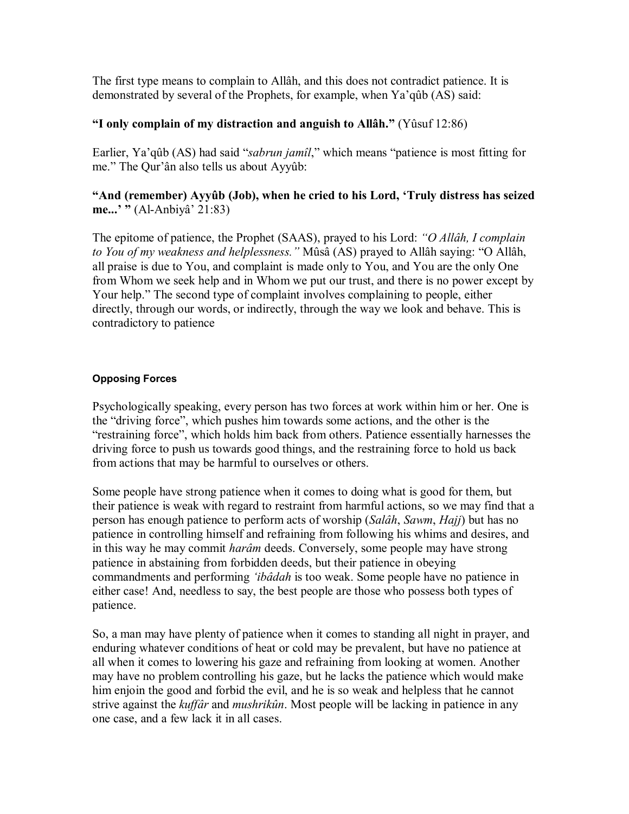The first type means to complain to Allâh, and this does not contradict patience. It is demonstrated by several of the Prophets, for example, when Ya'qûb (AS) said:

### **"I only complain of my distraction and anguish to Allâh."** (Yûsuf 12:86)

Earlier, Ya'qûb (AS) had said "*sabrun jamîl*," which means "patience is most fitting for me." The Qur'ân also tells us about Ayyûb:

## **"And (remember) Ayyûb (Job), when he cried to his Lord, 'Truly distress has seized me...' "** (Al-Anbiyâ' 21:83)

The epitome of patience, the Prophet (SAAS), prayed to his Lord: *"O Allâh, I complain to You of my weakness and helplessness."* Mûsâ (AS) prayed to Allâh saying: "O Allâh, all praise is due to You, and complaint is made only to You, and You are the only One from Whom we seek help and in Whom we put our trust, and there is no power except by Your help." The second type of complaint involves complaining to people, either directly, through our words, or indirectly, through the way we look and behave. This is contradictory to patience

### **Opposing Forces**

Psychologically speaking, every person has two forces at work within him or her. One is the "driving force", which pushes him towards some actions, and the other is the "restraining force", which holds him back from others. Patience essentially harnesses the driving force to push us towards good things, and the restraining force to hold us back from actions that may be harmful to ourselves or others.

Some people have strong patience when it comes to doing what is good for them, but their patience is weak with regard to restraint from harmful actions, so we may find that a person has enough patience to perform acts of worship (*Salâh*, *Sawm*, *Hajj*) but has no patience in controlling himself and refraining from following his whims and desires, and in this way he may commit *harâm* deeds. Conversely, some people may have strong patience in abstaining from forbidden deeds, but their patience in obeying commandments and performing *'ibâdah* is too weak. Some people have no patience in either case! And, needless to say, the best people are those who possess both types of patience.

So, a man may have plenty of patience when it comes to standing all night in prayer, and enduring whatever conditions of heat or cold may be prevalent, but have no patience at all when it comes to lowering his gaze and refraining from looking at women. Another may have no problem controlling his gaze, but he lacks the patience which would make him enjoin the good and forbid the evil, and he is so weak and helpless that he cannot strive against the *kuffâr* and *mushrikûn*. Most people will be lacking in patience in any one case, and a few lack it in all cases.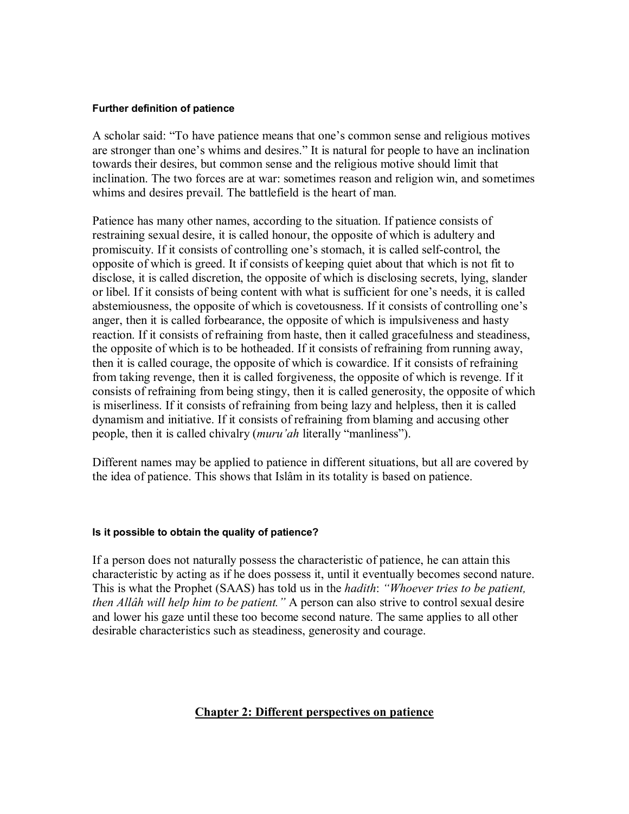#### **Further definition of patience**

A scholar said: "To have patience means that one's common sense and religious motives are stronger than one's whims and desires." It is natural for people to have an inclination towards their desires, but common sense and the religious motive should limit that inclination. The two forces are at war: sometimes reason and religion win, and sometimes whims and desires prevail. The battlefield is the heart of man.

Patience has many other names, according to the situation. If patience consists of restraining sexual desire, it is called honour, the opposite of which is adultery and promiscuity. If it consists of controlling one's stomach, it is called self-control, the opposite of which is greed. It if consists of keeping quiet about that which is not fit to disclose, it is called discretion, the opposite of which is disclosing secrets, lying, slander or libel. If it consists of being content with what is sufficient for one's needs, it is called abstemiousness, the opposite of which is covetousness. If it consists of controlling one's anger, then it is called forbearance, the opposite of which is impulsiveness and hasty reaction. If it consists of refraining from haste, then it called gracefulness and steadiness, the opposite of which is to be hotheaded. If it consists of refraining from running away, then it is called courage, the opposite of which is cowardice. If it consists of refraining from taking revenge, then it is called forgiveness, the opposite of which is revenge. If it consists of refraining from being stingy, then it is called generosity, the opposite of which is miserliness. If it consists of refraining from being lazy and helpless, then it is called dynamism and initiative. If it consists of refraining from blaming and accusing other people, then it is called chivalry (*muru'ah* literally "manliness").

Different names may be applied to patience in different situations, but all are covered by the idea of patience. This shows that Islâm in its totality is based on patience.

#### **Is it possible to obtain the quality of patience?**

If a person does not naturally possess the characteristic of patience, he can attain this characteristic by acting as if he does possess it, until it eventually becomes second nature. This is what the Prophet (SAAS) has told us in the *hadith*: *"Whoever tries to be patient, then Allâh will help him to be patient."* A person can also strive to control sexual desire and lower his gaze until these too become second nature. The same applies to all other desirable characteristics such as steadiness, generosity and courage.

# **Chapter 2: Different perspectives on patience**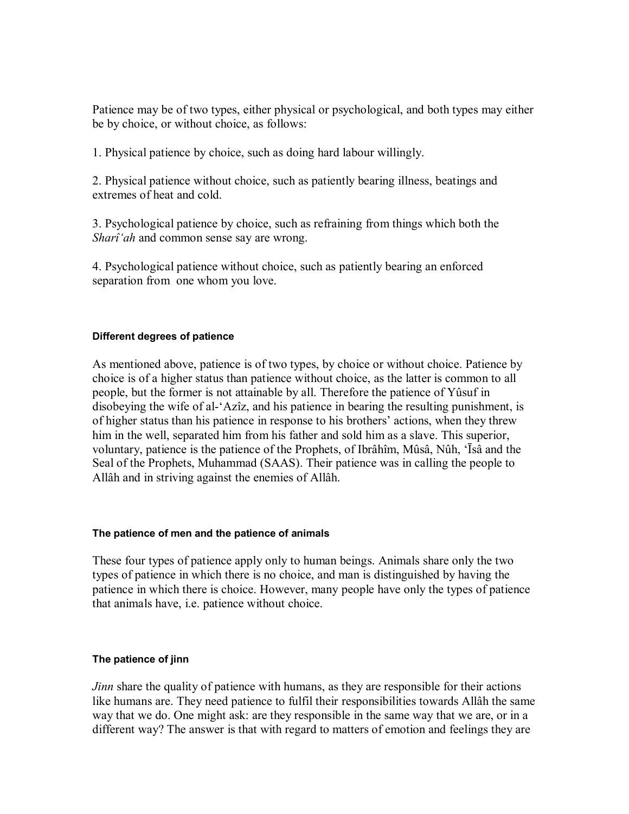Patience may be of two types, either physical or psychological, and both types may either be by choice, or without choice, as follows:

1. Physical patience by choice, such as doing hard labour willingly.

2. Physical patience without choice, such as patiently bearing illness, beatings and extremes of heat and cold.

3. Psychological patience by choice, such as refraining from things which both the *Sharî'ah* and common sense say are wrong.

4. Psychological patience without choice, such as patiently bearing an enforced separation from one whom you love.

#### **Different degrees of patience**

As mentioned above, patience is of two types, by choice or without choice. Patience by choice is of a higher status than patience without choice, as the latter is common to all people, but the former is not attainable by all. Therefore the patience of Yûsuf in disobeying the wife of al-'Azîz, and his patience in bearing the resulting punishment, is of higher status than his patience in response to his brothers' actions, when they threw him in the well, separated him from his father and sold him as a slave. This superior, voluntary, patience is the patience of the Prophets, of Ibrâhîm, Mûsâ, Nûh, 'Īsâ and the Seal of the Prophets, Muhammad (SAAS). Their patience was in calling the people to Allâh and in striving against the enemies of Allâh.

#### **The patience of men and the patience of animals**

These four types of patience apply only to human beings. Animals share only the two types of patience in which there is no choice, and man is distinguished by having the patience in which there is choice. However, many people have only the types of patience that animals have, i.e. patience without choice.

### **The patience of jinn**

*Jinn* share the quality of patience with humans, as they are responsible for their actions like humans are. They need patience to fulfil their responsibilities towards Allâh the same way that we do. One might ask: are they responsible in the same way that we are, or in a different way? The answer is that with regard to matters of emotion and feelings they are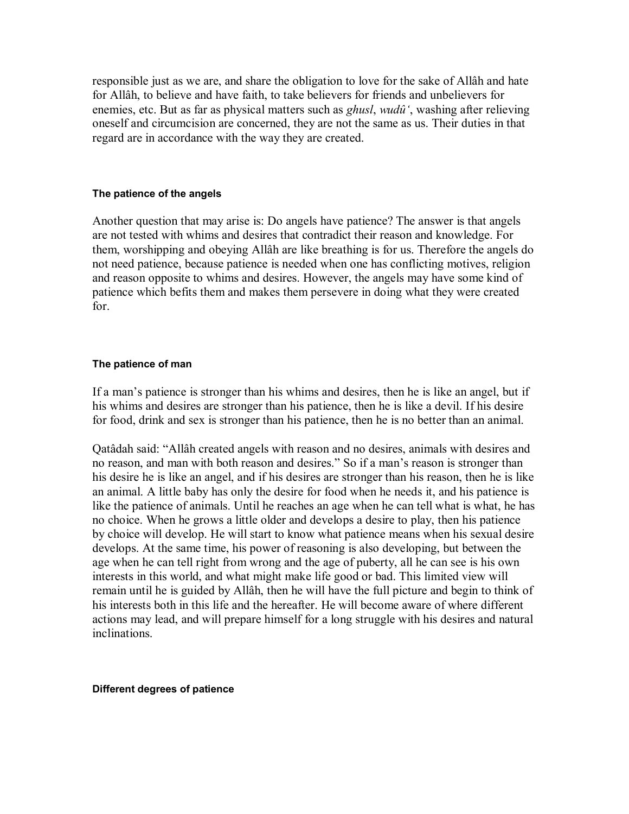responsible just as we are, and share the obligation to love for the sake of Allâh and hate for Allâh, to believe and have faith, to take believers for friends and unbelievers for enemies, etc. But as far as physical matters such as *ghusl*, *wudû'*, washing after relieving oneself and circumcision are concerned, they are not the same as us. Their duties in that regard are in accordance with the way they are created.

#### **The patience of the angels**

Another question that may arise is: Do angels have patience? The answer is that angels are not tested with whims and desires that contradict their reason and knowledge. For them, worshipping and obeying Allâh are like breathing is for us. Therefore the angels do not need patience, because patience is needed when one has conflicting motives, religion and reason opposite to whims and desires. However, the angels may have some kind of patience which befits them and makes them persevere in doing what they were created for.

#### **The patience of man**

If a man's patience is stronger than his whims and desires, then he is like an angel, but if his whims and desires are stronger than his patience, then he is like a devil. If his desire for food, drink and sex is stronger than his patience, then he is no better than an animal.

Qatâdah said: "Allâh created angels with reason and no desires, animals with desires and no reason, and man with both reason and desires." So if a man's reason is stronger than his desire he is like an angel, and if his desires are stronger than his reason, then he is like an animal. A little baby has only the desire for food when he needs it, and his patience is like the patience of animals. Until he reaches an age when he can tell what is what, he has no choice. When he grows a little older and develops a desire to play, then his patience by choice will develop. He will start to know what patience means when his sexual desire develops. At the same time, his power of reasoning is also developing, but between the age when he can tell right from wrong and the age of puberty, all he can see is his own interests in this world, and what might make life good or bad. This limited view will remain until he is guided by Allâh, then he will have the full picture and begin to think of his interests both in this life and the hereafter. He will become aware of where different actions may lead, and will prepare himself for a long struggle with his desires and natural inclinations.

#### **Different degrees of patience**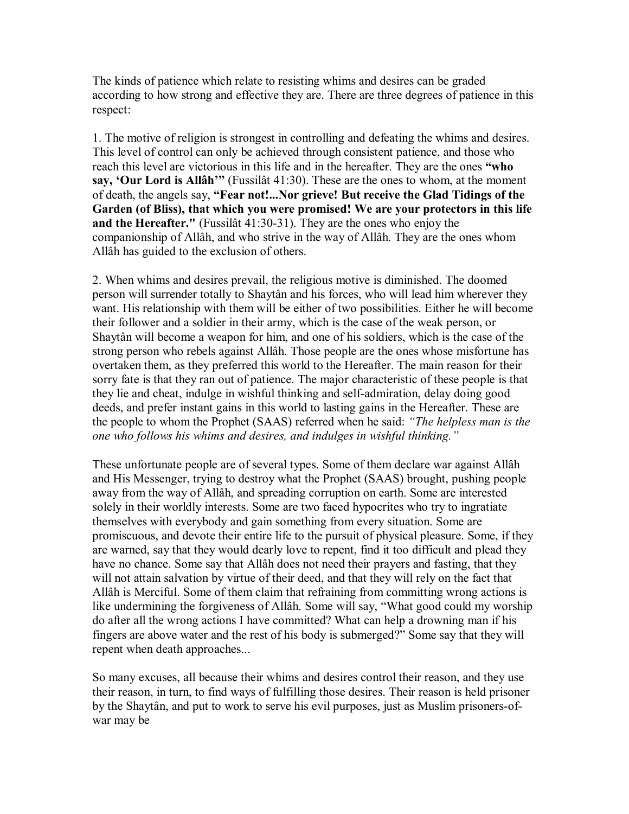The kinds of patience which relate to resisting whims and desires can be graded according to how strong and effective they are. There are three degrees of patience in this respect:

1. The motive of religion is strongest in controlling and defeating the whims and desires. This level of control can only be achieved through consistent patience, and those who reach this level are victorious in this life and in the hereafter. They are the ones **"who say, 'Our Lord is Allâh'"** (Fussilât 41:30). These are the ones to whom, at the moment of death, the angels say, **"Fear not!...Nor grieve! But receive the Glad Tidings of the Garden (of Bliss), that which you were promised! We are your protectors in this life and the Hereafter."** (Fussilât 41:30-31). They are the ones who enjoy the companionship of Allâh, and who strive in the way of Allâh. They are the ones whom Allâh has guided to the exclusion of others.

2. When whims and desires prevail, the religious motive is diminished. The doomed person will surrender totally to Shaytân and his forces, who will lead him wherever they want. His relationship with them will be either of two possibilities. Either he will become their follower and a soldier in their army, which is the case of the weak person, or Shaytân will become a weapon for him, and one of his soldiers, which is the case of the strong person who rebels against Allâh. Those people are the ones whose misfortune has overtaken them, as they preferred this world to the Hereafter. The main reason for their sorry fate is that they ran out of patience. The major characteristic of these people is that they lie and cheat, indulge in wishful thinking and self-admiration, delay doing good deeds, and prefer instant gains in this world to lasting gains in the Hereafter. These are the people to whom the Prophet (SAAS) referred when he said: *"The helpless man is the one who follows his whims and desires, and indulges in wishful thinking."*

These unfortunate people are of several types. Some of them declare war against Allâh and His Messenger, trying to destroy what the Prophet (SAAS) brought, pushing people away from the way of Allâh, and spreading corruption on earth. Some are interested solely in their worldly interests. Some are two faced hypocrites who try to ingratiate themselves with everybody and gain something from every situation. Some are promiscuous, and devote their entire life to the pursuit of physical pleasure. Some, if they are warned, say that they would dearly love to repent, find it too difficult and plead they have no chance. Some say that Allâh does not need their prayers and fasting, that they will not attain salvation by virtue of their deed, and that they will rely on the fact that Allâh is Merciful. Some of them claim that refraining from committing wrong actions is like undermining the forgiveness of Allâh. Some will say, "What good could my worship do after all the wrong actions I have committed? What can help a drowning man if his fingers are above water and the rest of his body is submerged?" Some say that they will repent when death approaches...

So many excuses, all because their whims and desires control their reason, and they use their reason, in turn, to find ways of fulfilling those desires. Their reason is held prisoner by the Shaytân, and put to work to serve his evil purposes, just as Muslim prisoners-ofwar may be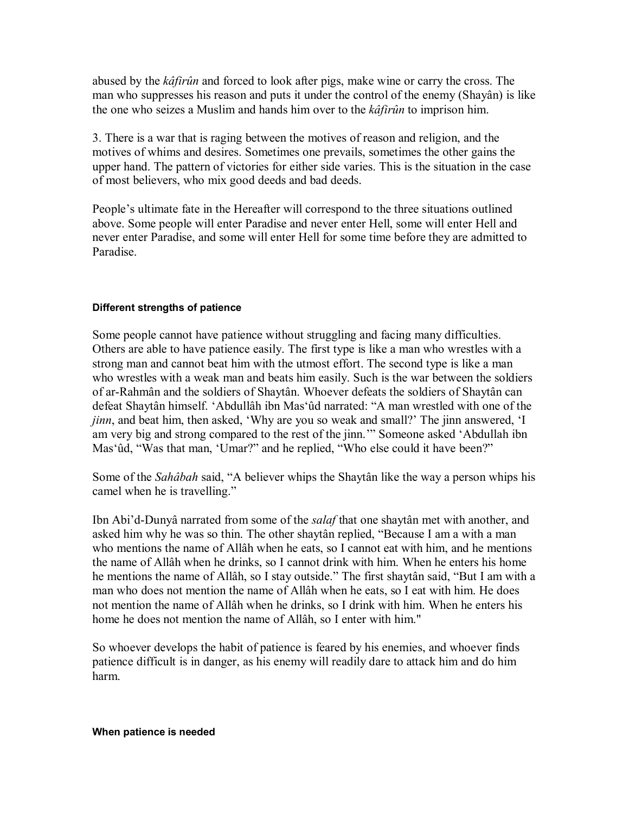abused by the *kâfirûn* and forced to look after pigs, make wine or carry the cross. The man who suppresses his reason and puts it under the control of the enemy (Shayân) is like the one who seizes a Muslim and hands him over to the *kâfirûn* to imprison him.

3. There is a war that is raging between the motives of reason and religion, and the motives of whims and desires. Sometimes one prevails, sometimes the other gains the upper hand. The pattern of victories for either side varies. This is the situation in the case of most believers, who mix good deeds and bad deeds.

People's ultimate fate in the Hereafter will correspond to the three situations outlined above. Some people will enter Paradise and never enter Hell, some will enter Hell and never enter Paradise, and some will enter Hell for some time before they are admitted to Paradise.

### **Different strengths of patience**

Some people cannot have patience without struggling and facing many difficulties. Others are able to have patience easily. The first type is like a man who wrestles with a strong man and cannot beat him with the utmost effort. The second type is like a man who wrestles with a weak man and beats him easily. Such is the war between the soldiers of ar-Rahmân and the soldiers of Shaytân. Whoever defeats the soldiers of Shaytân can defeat Shaytân himself. 'Abdullâh ibn Mas'ûd narrated: "A man wrestled with one of the *jinn*, and beat him, then asked, 'Why are you so weak and small?' The jinn answered, 'I am very big and strong compared to the rest of the jinn.'" Someone asked 'Abdullah ibn Mas'ûd, "Was that man, 'Umar?" and he replied, "Who else could it have been?"

Some of the *Sahâbah* said, "A believer whips the Shaytân like the way a person whips his camel when he is travelling."

Ibn Abi'd-Dunyâ narrated from some of the *salaf* that one shaytân met with another, and asked him why he was so thin. The other shaytân replied, "Because I am a with a man who mentions the name of Allâh when he eats, so I cannot eat with him, and he mentions the name of Allâh when he drinks, so I cannot drink with him. When he enters his home he mentions the name of Allâh, so I stay outside." The first shaytân said, "But I am with a man who does not mention the name of Allâh when he eats, so I eat with him. He does not mention the name of Allâh when he drinks, so I drink with him. When he enters his home he does not mention the name of Allâh, so I enter with him."

So whoever develops the habit of patience is feared by his enemies, and whoever finds patience difficult is in danger, as his enemy will readily dare to attack him and do him harm.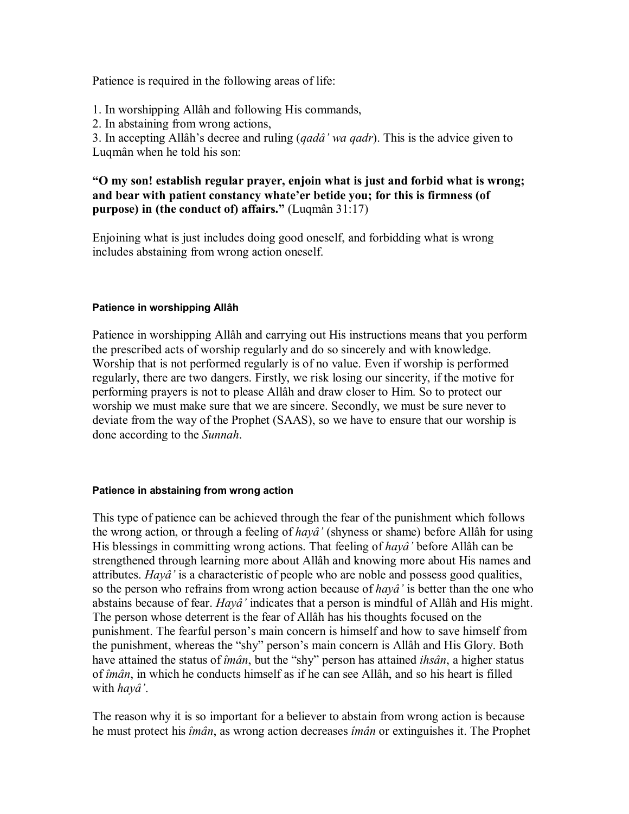Patience is required in the following areas of life:

1. In worshipping Allâh and following His commands,

2. In abstaining from wrong actions,

3. In accepting Allâh's decree and ruling (*qadâ' wa qadr*). This is the advice given to Luqmân when he told his son:

### **"O my son! establish regular prayer, enjoin what is just and forbid what is wrong; and bear with patient constancy whate'er betide you; for this is firmness (of purpose) in (the conduct of) affairs."** (Luqmân 31:17)

Enjoining what is just includes doing good oneself, and forbidding what is wrong includes abstaining from wrong action oneself.

### **Patience in worshipping Allâh**

Patience in worshipping Allâh and carrying out His instructions means that you perform the prescribed acts of worship regularly and do so sincerely and with knowledge. Worship that is not performed regularly is of no value. Even if worship is performed regularly, there are two dangers. Firstly, we risk losing our sincerity, if the motive for performing prayers is not to please Allâh and draw closer to Him. So to protect our worship we must make sure that we are sincere. Secondly, we must be sure never to deviate from the way of the Prophet (SAAS), so we have to ensure that our worship is done according to the *Sunnah*.

### **Patience in abstaining from wrong action**

This type of patience can be achieved through the fear of the punishment which follows the wrong action, or through a feeling of *hayâ'* (shyness or shame) before Allâh for using His blessings in committing wrong actions. That feeling of *hayâ'* before Allâh can be strengthened through learning more about Allâh and knowing more about His names and attributes. *Hayâ'* is a characteristic of people who are noble and possess good qualities, so the person who refrains from wrong action because of *hayâ'* is better than the one who abstains because of fear. *Hayâ'* indicates that a person is mindful of Allâh and His might. The person whose deterrent is the fear of Allâh has his thoughts focused on the punishment. The fearful person's main concern is himself and how to save himself from the punishment, whereas the "shy" person's main concern is Allâh and His Glory. Both have attained the status of *îmân*, but the "shy" person has attained *ihsân*, a higher status of *îmân*, in which he conducts himself as if he can see Allâh, and so his heart is filled with *hayâ'*.

The reason why it is so important for a believer to abstain from wrong action is because he must protect his *îmân*, as wrong action decreases *îmân* or extinguishes it. The Prophet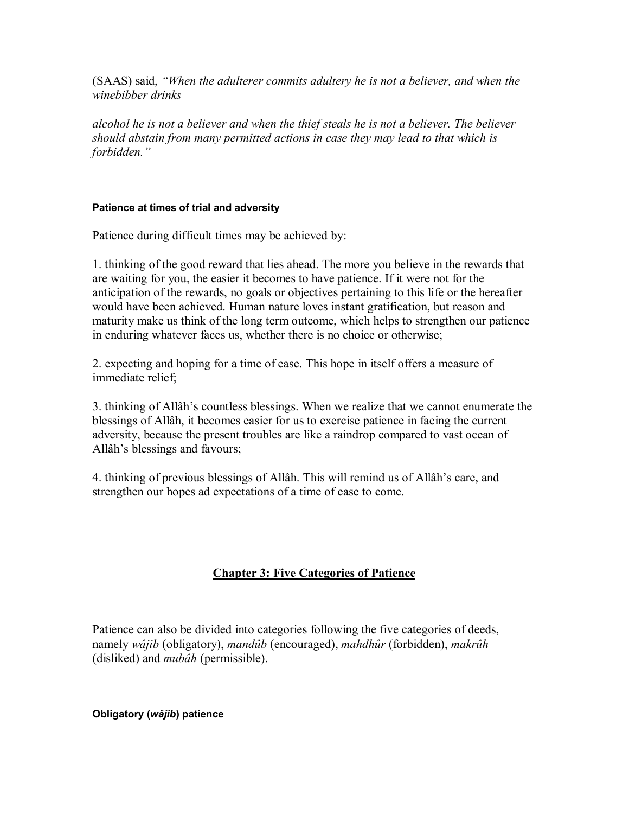(SAAS) said, *"When the adulterer commits adultery he is not a believer, and when the winebibber drinks* 

*alcohol he is not a believer and when the thief steals he is not a believer. The believer should abstain from many permitted actions in case they may lead to that which is forbidden."*

### **Patience at times of trial and adversity**

Patience during difficult times may be achieved by:

1. thinking of the good reward that lies ahead. The more you believe in the rewards that are waiting for you, the easier it becomes to have patience. If it were not for the anticipation of the rewards, no goals or objectives pertaining to this life or the hereafter would have been achieved. Human nature loves instant gratification, but reason and maturity make us think of the long term outcome, which helps to strengthen our patience in enduring whatever faces us, whether there is no choice or otherwise;

2. expecting and hoping for a time of ease. This hope in itself offers a measure of immediate relief;

3. thinking of Allâh's countless blessings. When we realize that we cannot enumerate the blessings of Allâh, it becomes easier for us to exercise patience in facing the current adversity, because the present troubles are like a raindrop compared to vast ocean of Allâh's blessings and favours;

4. thinking of previous blessings of Allâh. This will remind us of Allâh's care, and strengthen our hopes ad expectations of a time of ease to come.

# **Chapter 3: Five Categories of Patience**

Patience can also be divided into categories following the five categories of deeds, namely *wâjib* (obligatory), *mandûb* (encouraged), *mahdhûr* (forbidden), *makrûh* (disliked) and *mubâh* (permissible).

**Obligatory (***wâjib***) patience**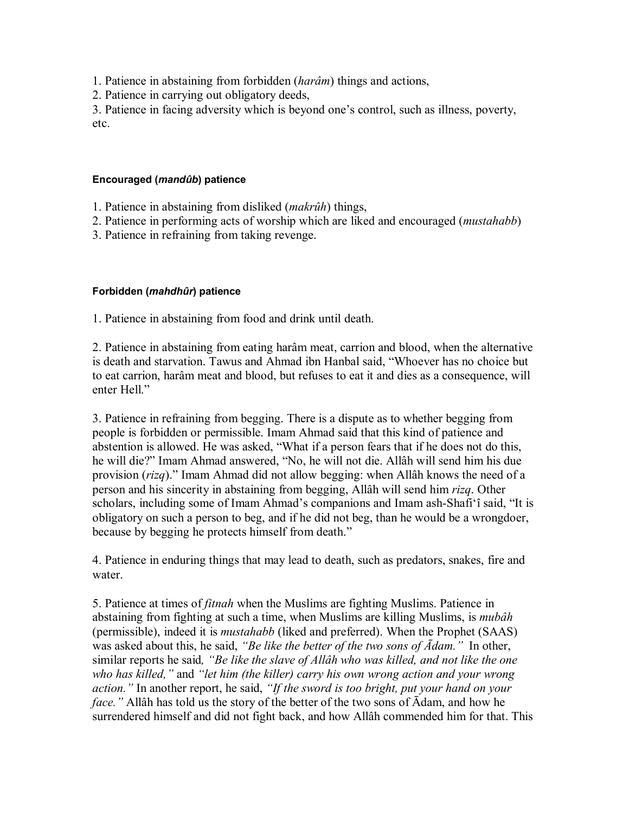1. Patience in abstaining from forbidden (*harâm*) things and actions,

2. Patience in carrying out obligatory deeds,

3. Patience in facing adversity which is beyond one's control, such as illness, poverty, etc.

#### **Encouraged (***mandûb***) patience**

1. Patience in abstaining from disliked (*makrûh*) things,

- 2. Patience in performing acts of worship which are liked and encouraged (*mustahabb*)
- 3. Patience in refraining from taking revenge.

### **Forbidden (***mahdhûr***) patience**

1. Patience in abstaining from food and drink until death.

2. Patience in abstaining from eating harâm meat, carrion and blood, when the alternative is death and starvation. Tawus and Ahmad ibn Hanbal said, "Whoever has no choice but to eat carrion, harâm meat and blood, but refuses to eat it and dies as a consequence, will enter Hell."

3. Patience in refraining from begging. There is a dispute as to whether begging from people is forbidden or permissible. Imam Ahmad said that this kind of patience and abstention is allowed. He was asked, "What if a person fears that if he does not do this, he will die?" Imam Ahmad answered, "No, he will not die. Allâh will send him his due provision (*rizq*)." Imam Ahmad did not allow begging: when Allâh knows the need of a person and his sincerity in abstaining from begging, Allâh will send him *rizq*. Other scholars, including some of Imam Ahmad's companions and Imam ash-Shafi'î said, "It is obligatory on such a person to beg, and if he did not beg, than he would be a wrongdoer, because by begging he protects himself from death."

4. Patience in enduring things that may lead to death, such as predators, snakes, fire and water.

5. Patience at times of *fitnah* when the Muslims are fighting Muslims. Patience in abstaining from fighting at such a time, when Muslims are killing Muslims, is *mubâh* (permissible), indeed it is *mustahabb* (liked and preferred). When the Prophet (SAAS) was asked about this, he said, *"Be like the better of the two sons of Ādam."* In other, similar reports he said*, "Be like the slave of Allâh who was killed, and not like the one who has killed,"* and *"let him (the killer) carry his own wrong action and your wrong action."* In another report, he said, *"If the sword is too bright, put your hand on your face."* Allâh has told us the story of the better of the two sons of Ādam, and how he surrendered himself and did not fight back, and how Allâh commended him for that. This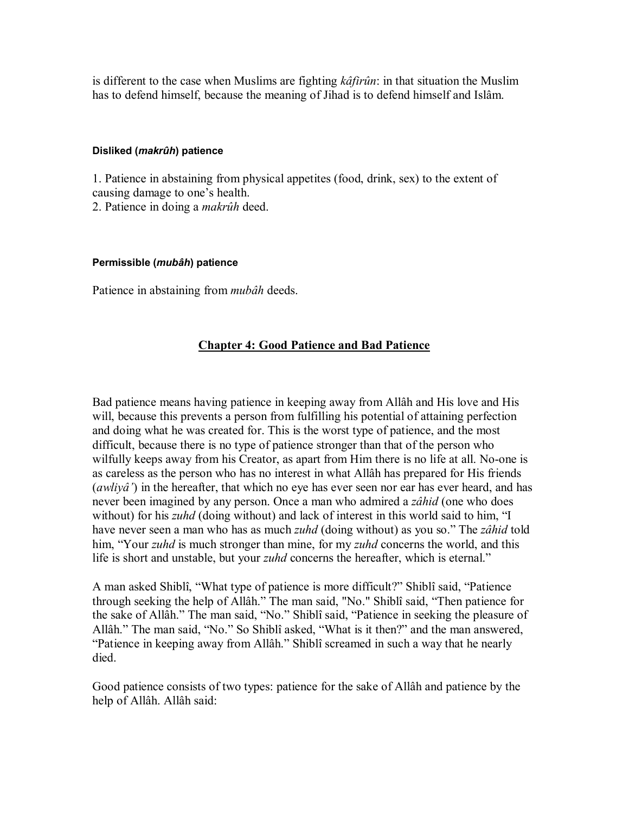is different to the case when Muslims are fighting *kâfirûn*: in that situation the Muslim has to defend himself, because the meaning of Jihad is to defend himself and Islâm.

#### **Disliked (***makrûh***) patience**

1. Patience in abstaining from physical appetites (food, drink, sex) to the extent of causing damage to one's health.

2. Patience in doing a *makrûh* deed.

#### **Permissible (***mubâh***) patience**

Patience in abstaining from *mubâh* deeds.

# **Chapter 4: Good Patience and Bad Patience**

Bad patience means having patience in keeping away from Allâh and His love and His will, because this prevents a person from fulfilling his potential of attaining perfection and doing what he was created for. This is the worst type of patience, and the most difficult, because there is no type of patience stronger than that of the person who wilfully keeps away from his Creator, as apart from Him there is no life at all. No-one is as careless as the person who has no interest in what Allâh has prepared for His friends (*awliyâ'*) in the hereafter, that which no eye has ever seen nor ear has ever heard, and has never been imagined by any person. Once a man who admired a *zâhid* (one who does without) for his *zuhd* (doing without) and lack of interest in this world said to him, "I have never seen a man who has as much *zuhd* (doing without) as you so." The *zâhid* told him, "Your *zuhd* is much stronger than mine, for my *zuhd* concerns the world, and this life is short and unstable, but your *zuhd* concerns the hereafter, which is eternal."

A man asked Shiblî, "What type of patience is more difficult?" Shiblî said, "Patience through seeking the help of Allâh." The man said, "No." Shiblî said, "Then patience for the sake of Allâh." The man said, "No." Shiblî said, "Patience in seeking the pleasure of Allâh." The man said, "No." So Shiblî asked, "What is it then?" and the man answered, "Patience in keeping away from Allâh." Shiblî screamed in such a way that he nearly died.

Good patience consists of two types: patience for the sake of Allâh and patience by the help of Allâh. Allâh said: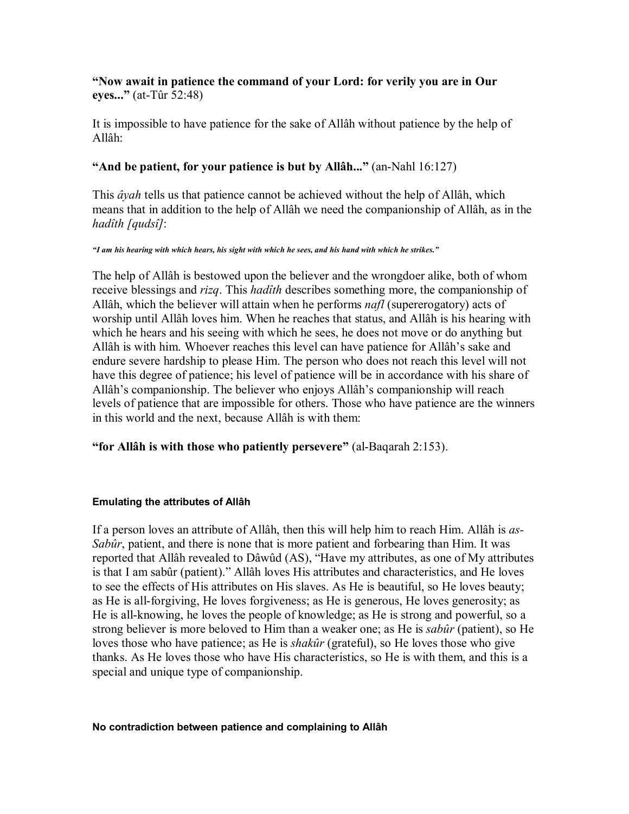## **"Now await in patience the command of your Lord: for verily you are in Our eyes..."** (at-Tûr 52:48)

It is impossible to have patience for the sake of Allâh without patience by the help of Allâh:

### **"And be patient, for your patience is but by Allâh..."** (an-Nahl 16:127)

This *âyah* tells us that patience cannot be achieved without the help of Allâh, which means that in addition to the help of Allâh we need the companionship of Allâh, as in the *hadîth [qudsî]*:

#### "I am his hearing with which hears, his sight with which he sees, and his hand with which he strikes."

The help of Allâh is bestowed upon the believer and the wrongdoer alike, both of whom receive blessings and *rizq*. This *hadîth* describes something more, the companionship of Allâh, which the believer will attain when he performs *nafl* (supererogatory) acts of worship until Allâh loves him. When he reaches that status, and Allâh is his hearing with which he hears and his seeing with which he sees, he does not move or do anything but Allâh is with him. Whoever reaches this level can have patience for Allâh's sake and endure severe hardship to please Him. The person who does not reach this level will not have this degree of patience; his level of patience will be in accordance with his share of Allâh's companionship. The believer who enjoys Allâh's companionship will reach levels of patience that are impossible for others. Those who have patience are the winners in this world and the next, because Allâh is with them:

**"for Allâh is with those who patiently persevere"** (al-Baqarah 2:153).

### **Emulating the attributes of Allâh**

If a person loves an attribute of Allâh, then this will help him to reach Him. Allâh is *as-Sabûr*, patient, and there is none that is more patient and forbearing than Him. It was reported that Allâh revealed to Dâwûd (AS), "Have my attributes, as one of My attributes is that I am sabûr (patient)." Allâh loves His attributes and characteristics, and He loves to see the effects of His attributes on His slaves. As He is beautiful, so He loves beauty; as He is all-forgiving, He loves forgiveness; as He is generous, He loves generosity; as He is all-knowing, he loves the people of knowledge; as He is strong and powerful, so a strong believer is more beloved to Him than a weaker one; as He is *sabûr* (patient), so He loves those who have patience; as He is *shakûr* (grateful), so He loves those who give thanks. As He loves those who have His characteristics, so He is with them, and this is a special and unique type of companionship.

#### **No contradiction between patience and complaining to Allâh**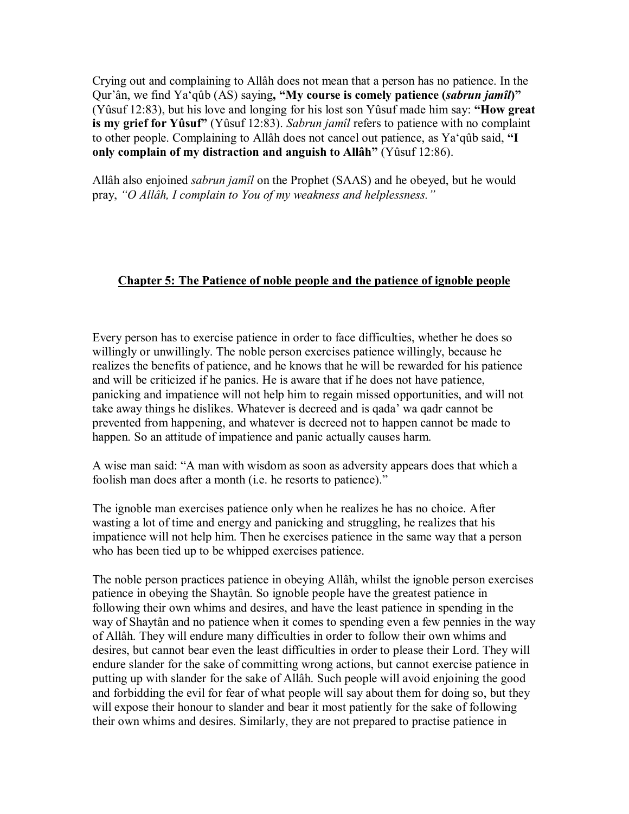Crying out and complaining to Allâh does not mean that a person has no patience. In the Qur'ân, we find Ya'qûb (AS) saying**, "My course is comely patience (***sabrun jamîl***)"** (Yûsuf 12:83), but his love and longing for his lost son Yûsuf made him say: **"How great is my grief for Yûsuf"** (Yûsuf 12:83). *Sabrun jamîl* refers to patience with no complaint to other people. Complaining to Allâh does not cancel out patience, as Ya'qûb said, **"I only complain of my distraction and anguish to Allâh"** (Yûsuf 12:86).

Allâh also enjoined *sabrun jamîl* on the Prophet (SAAS) and he obeyed, but he would pray, *"O Allâh, I complain to You of my weakness and helplessness."* 

# **Chapter 5: The Patience of noble people and the patience of ignoble people**

Every person has to exercise patience in order to face difficulties, whether he does so willingly or unwillingly. The noble person exercises patience willingly, because he realizes the benefits of patience, and he knows that he will be rewarded for his patience and will be criticized if he panics. He is aware that if he does not have patience, panicking and impatience will not help him to regain missed opportunities, and will not take away things he dislikes. Whatever is decreed and is qada' wa qadr cannot be prevented from happening, and whatever is decreed not to happen cannot be made to happen. So an attitude of impatience and panic actually causes harm.

A wise man said: "A man with wisdom as soon as adversity appears does that which a foolish man does after a month (i.e. he resorts to patience)."

The ignoble man exercises patience only when he realizes he has no choice. After wasting a lot of time and energy and panicking and struggling, he realizes that his impatience will not help him. Then he exercises patience in the same way that a person who has been tied up to be whipped exercises patience.

The noble person practices patience in obeying Allâh, whilst the ignoble person exercises patience in obeying the Shaytân. So ignoble people have the greatest patience in following their own whims and desires, and have the least patience in spending in the way of Shaytân and no patience when it comes to spending even a few pennies in the way of Allâh. They will endure many difficulties in order to follow their own whims and desires, but cannot bear even the least difficulties in order to please their Lord. They will endure slander for the sake of committing wrong actions, but cannot exercise patience in putting up with slander for the sake of Allâh. Such people will avoid enjoining the good and forbidding the evil for fear of what people will say about them for doing so, but they will expose their honour to slander and bear it most patiently for the sake of following their own whims and desires. Similarly, they are not prepared to practise patience in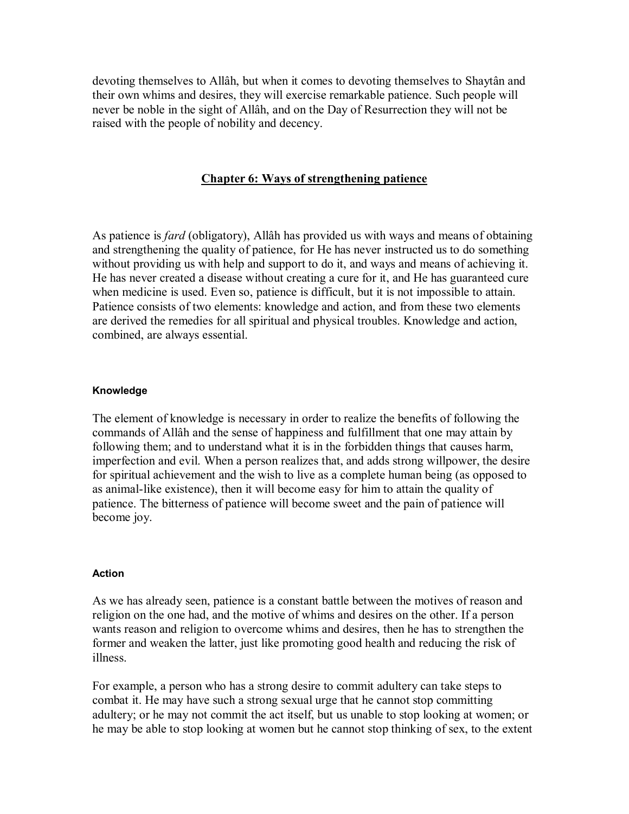devoting themselves to Allâh, but when it comes to devoting themselves to Shaytân and their own whims and desires, they will exercise remarkable patience. Such people will never be noble in the sight of Allâh, and on the Day of Resurrection they will not be raised with the people of nobility and decency.

### **Chapter 6: Ways of strengthening patience**

As patience is *fard* (obligatory), Allâh has provided us with ways and means of obtaining and strengthening the quality of patience, for He has never instructed us to do something without providing us with help and support to do it, and ways and means of achieving it. He has never created a disease without creating a cure for it, and He has guaranteed cure when medicine is used. Even so, patience is difficult, but it is not impossible to attain. Patience consists of two elements: knowledge and action, and from these two elements are derived the remedies for all spiritual and physical troubles. Knowledge and action, combined, are always essential.

#### **Knowledge**

The element of knowledge is necessary in order to realize the benefits of following the commands of Allâh and the sense of happiness and fulfillment that one may attain by following them; and to understand what it is in the forbidden things that causes harm, imperfection and evil. When a person realizes that, and adds strong willpower, the desire for spiritual achievement and the wish to live as a complete human being (as opposed to as animal-like existence), then it will become easy for him to attain the quality of patience. The bitterness of patience will become sweet and the pain of patience will become joy.

#### **Action**

As we has already seen, patience is a constant battle between the motives of reason and religion on the one had, and the motive of whims and desires on the other. If a person wants reason and religion to overcome whims and desires, then he has to strengthen the former and weaken the latter, just like promoting good health and reducing the risk of illness.

For example, a person who has a strong desire to commit adultery can take steps to combat it. He may have such a strong sexual urge that he cannot stop committing adultery; or he may not commit the act itself, but us unable to stop looking at women; or he may be able to stop looking at women but he cannot stop thinking of sex, to the extent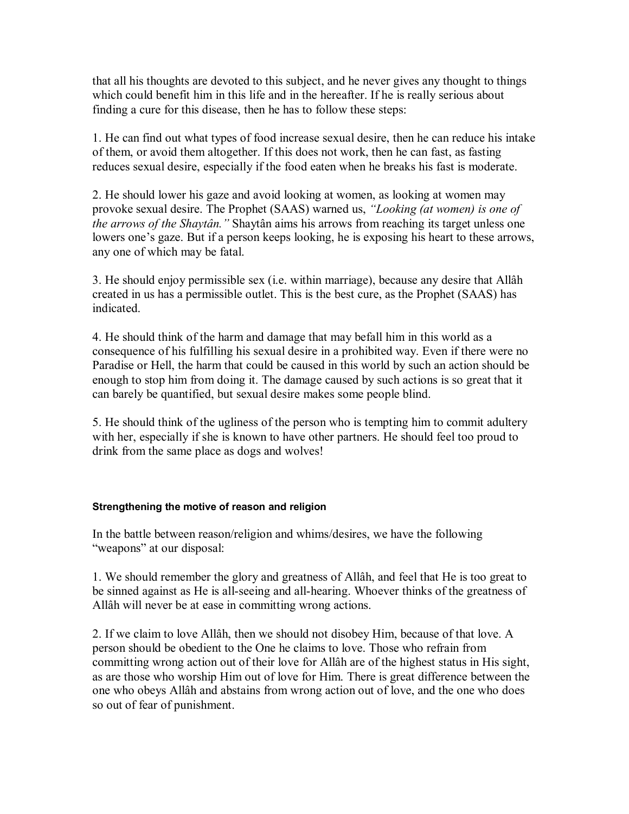that all his thoughts are devoted to this subject, and he never gives any thought to things which could benefit him in this life and in the hereafter. If he is really serious about finding a cure for this disease, then he has to follow these steps:

1. He can find out what types of food increase sexual desire, then he can reduce his intake of them, or avoid them altogether. If this does not work, then he can fast, as fasting reduces sexual desire, especially if the food eaten when he breaks his fast is moderate.

2. He should lower his gaze and avoid looking at women, as looking at women may provoke sexual desire. The Prophet (SAAS) warned us, *"Looking (at women) is one of the arrows of the Shaytân."* Shaytân aims his arrows from reaching its target unless one lowers one's gaze. But if a person keeps looking, he is exposing his heart to these arrows, any one of which may be fatal.

3. He should enjoy permissible sex (i.e. within marriage), because any desire that Allâh created in us has a permissible outlet. This is the best cure, as the Prophet (SAAS) has indicated.

4. He should think of the harm and damage that may befall him in this world as a consequence of his fulfilling his sexual desire in a prohibited way. Even if there were no Paradise or Hell, the harm that could be caused in this world by such an action should be enough to stop him from doing it. The damage caused by such actions is so great that it can barely be quantified, but sexual desire makes some people blind.

5. He should think of the ugliness of the person who is tempting him to commit adultery with her, especially if she is known to have other partners. He should feel too proud to drink from the same place as dogs and wolves!

### **Strengthening the motive of reason and religion**

In the battle between reason/religion and whims/desires, we have the following "weapons" at our disposal:

1. We should remember the glory and greatness of Allâh, and feel that He is too great to be sinned against as He is all-seeing and all-hearing. Whoever thinks of the greatness of Allâh will never be at ease in committing wrong actions.

2. If we claim to love Allâh, then we should not disobey Him, because of that love. A person should be obedient to the One he claims to love. Those who refrain from committing wrong action out of their love for Allâh are of the highest status in His sight, as are those who worship Him out of love for Him. There is great difference between the one who obeys Allâh and abstains from wrong action out of love, and the one who does so out of fear of punishment.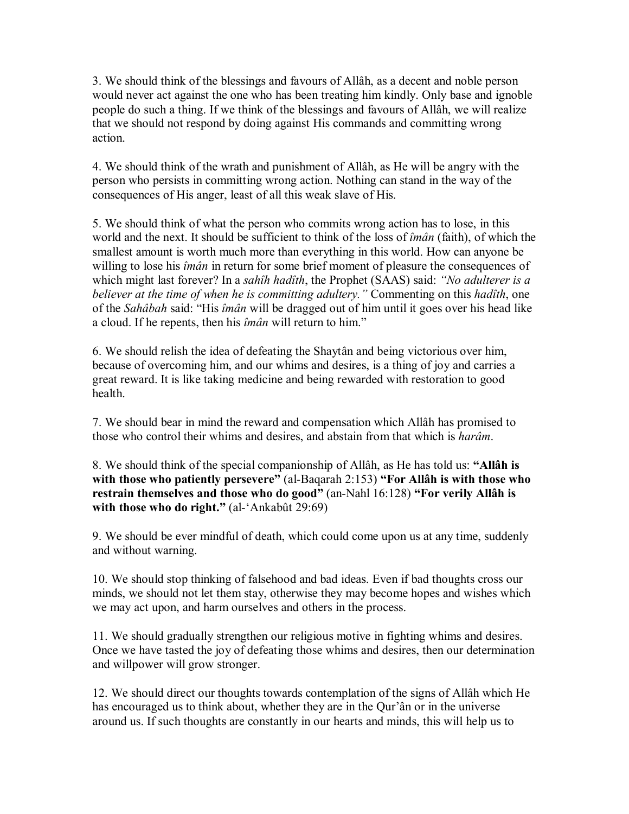3. We should think of the blessings and favours of Allâh, as a decent and noble person would never act against the one who has been treating him kindly. Only base and ignoble people do such a thing. If we think of the blessings and favours of Allâh, we will realize that we should not respond by doing against His commands and committing wrong action.

4. We should think of the wrath and punishment of Allâh, as He will be angry with the person who persists in committing wrong action. Nothing can stand in the way of the consequences of His anger, least of all this weak slave of His.

5. We should think of what the person who commits wrong action has to lose, in this world and the next. It should be sufficient to think of the loss of *îmân* (faith), of which the smallest amount is worth much more than everything in this world. How can anyone be willing to lose his *îmân* in return for some brief moment of pleasure the consequences of which might last forever? In a *sahîh hadîth*, the Prophet (SAAS) said: *"No adulterer is a believer at the time of when he is committing adultery."* Commenting on this *hadîth*, one of the *Sahâbah* said: "His *îmân* will be dragged out of him until it goes over his head like a cloud. If he repents, then his *îmân* will return to him."

6. We should relish the idea of defeating the Shaytân and being victorious over him, because of overcoming him, and our whims and desires, is a thing of joy and carries a great reward. It is like taking medicine and being rewarded with restoration to good health.

7. We should bear in mind the reward and compensation which Allâh has promised to those who control their whims and desires, and abstain from that which is *harâm*.

8. We should think of the special companionship of Allâh, as He has told us: **"Allâh is with those who patiently persevere"** (al-Baqarah 2:153) **"For Allâh is with those who restrain themselves and those who do good"** (an-Nahl 16:128) **"For verily Allâh is with those who do right."** (al-'Ankabût 29:69)

9. We should be ever mindful of death, which could come upon us at any time, suddenly and without warning.

10. We should stop thinking of falsehood and bad ideas. Even if bad thoughts cross our minds, we should not let them stay, otherwise they may become hopes and wishes which we may act upon, and harm ourselves and others in the process.

11. We should gradually strengthen our religious motive in fighting whims and desires. Once we have tasted the joy of defeating those whims and desires, then our determination and willpower will grow stronger.

12. We should direct our thoughts towards contemplation of the signs of Allâh which He has encouraged us to think about, whether they are in the Qur'ân or in the universe around us. If such thoughts are constantly in our hearts and minds, this will help us to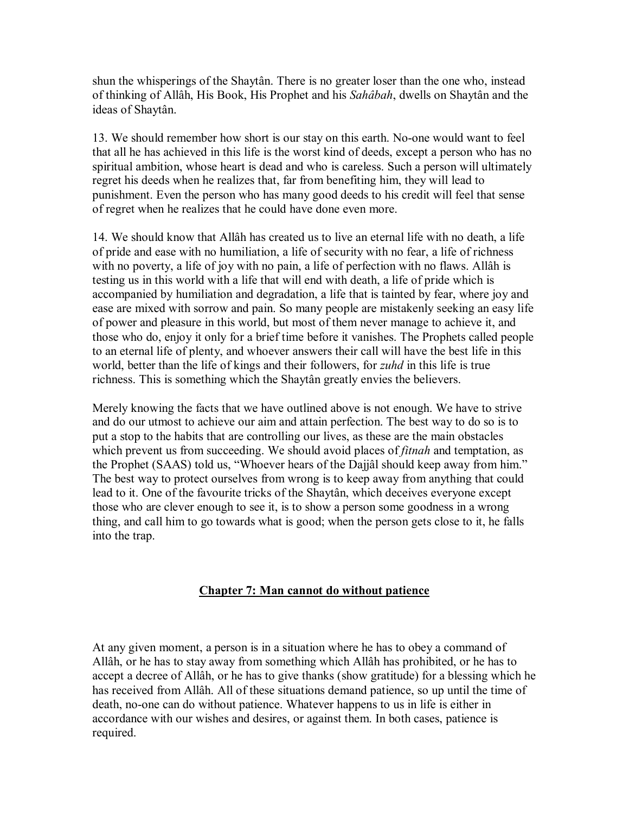shun the whisperings of the Shaytân. There is no greater loser than the one who, instead of thinking of Allâh, His Book, His Prophet and his *Sahâbah*, dwells on Shaytân and the ideas of Shaytân.

13. We should remember how short is our stay on this earth. No-one would want to feel that all he has achieved in this life is the worst kind of deeds, except a person who has no spiritual ambition, whose heart is dead and who is careless. Such a person will ultimately regret his deeds when he realizes that, far from benefiting him, they will lead to punishment. Even the person who has many good deeds to his credit will feel that sense of regret when he realizes that he could have done even more.

14. We should know that Allâh has created us to live an eternal life with no death, a life of pride and ease with no humiliation, a life of security with no fear, a life of richness with no poverty, a life of joy with no pain, a life of perfection with no flaws. Allâh is testing us in this world with a life that will end with death, a life of pride which is accompanied by humiliation and degradation, a life that is tainted by fear, where joy and ease are mixed with sorrow and pain. So many people are mistakenly seeking an easy life of power and pleasure in this world, but most of them never manage to achieve it, and those who do, enjoy it only for a brief time before it vanishes. The Prophets called people to an eternal life of plenty, and whoever answers their call will have the best life in this world, better than the life of kings and their followers, for *zuhd* in this life is true richness. This is something which the Shaytân greatly envies the believers.

Merely knowing the facts that we have outlined above is not enough. We have to strive and do our utmost to achieve our aim and attain perfection. The best way to do so is to put a stop to the habits that are controlling our lives, as these are the main obstacles which prevent us from succeeding. We should avoid places of *fitnah* and temptation, as the Prophet (SAAS) told us, "Whoever hears of the Dajjâl should keep away from him." The best way to protect ourselves from wrong is to keep away from anything that could lead to it. One of the favourite tricks of the Shaytân, which deceives everyone except those who are clever enough to see it, is to show a person some goodness in a wrong thing, and call him to go towards what is good; when the person gets close to it, he falls into the trap.

# **Chapter 7: Man cannot do without patience**

At any given moment, a person is in a situation where he has to obey a command of Allâh, or he has to stay away from something which Allâh has prohibited, or he has to accept a decree of Allâh, or he has to give thanks (show gratitude) for a blessing which he has received from Allâh. All of these situations demand patience, so up until the time of death, no-one can do without patience. Whatever happens to us in life is either in accordance with our wishes and desires, or against them. In both cases, patience is required.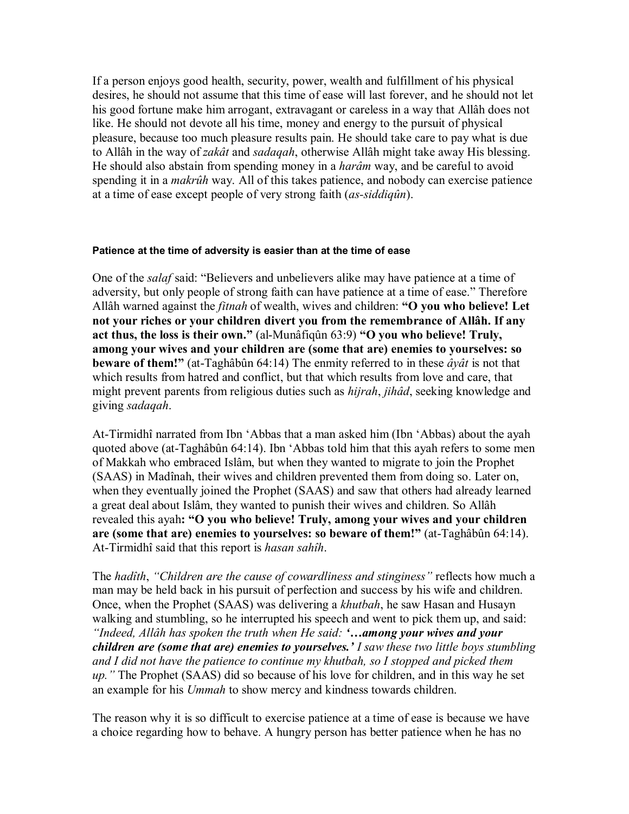If a person enjoys good health, security, power, wealth and fulfillment of his physical desires, he should not assume that this time of ease will last forever, and he should not let his good fortune make him arrogant, extravagant or careless in a way that Allâh does not like. He should not devote all his time, money and energy to the pursuit of physical pleasure, because too much pleasure results pain. He should take care to pay what is due to Allâh in the way of *zakât* and *sadaqah*, otherwise Allâh might take away His blessing. He should also abstain from spending money in a *harâm* way, and be careful to avoid spending it in a *makrûh* way. All of this takes patience, and nobody can exercise patience at a time of ease except people of very strong faith (*as-siddiqûn*).

#### **Patience at the time of adversity is easier than at the time of ease**

One of the *salaf* said: "Believers and unbelievers alike may have patience at a time of adversity, but only people of strong faith can have patience at a time of ease." Therefore Allâh warned against the *fitnah* of wealth, wives and children: **"O you who believe! Let not your riches or your children divert you from the remembrance of Allâh. If any act thus, the loss is their own."** (al-Munâfiqûn 63:9) **"O you who believe! Truly, among your wives and your children are (some that are) enemies to yourselves: so beware of them!"** (at-Taghâbûn 64:14) The enmity referred to in these *âyât* is not that which results from hatred and conflict, but that which results from love and care, that might prevent parents from religious duties such as *hijrah*, *jihâd*, seeking knowledge and giving *sadaqah*.

At-Tirmidhî narrated from Ibn 'Abbas that a man asked him (Ibn 'Abbas) about the ayah quoted above (at-Taghâbûn 64:14). Ibn 'Abbas told him that this ayah refers to some men of Makkah who embraced Islâm, but when they wanted to migrate to join the Prophet (SAAS) in Madînah, their wives and children prevented them from doing so. Later on, when they eventually joined the Prophet (SAAS) and saw that others had already learned a great deal about Islâm, they wanted to punish their wives and children. So Allâh revealed this ayah**: "O you who believe! Truly, among your wives and your children are (some that are) enemies to yourselves: so beware of them!"** (at-Taghâbûn 64:14). At-Tirmidhî said that this report is *hasan sahîh*.

The *hadîth*, *"Children are the cause of cowardliness and stinginess"* reflects how much a man may be held back in his pursuit of perfection and success by his wife and children. Once, when the Prophet (SAAS) was delivering a *khutbah*, he saw Hasan and Husayn walking and stumbling, so he interrupted his speech and went to pick them up, and said: *"Indeed, Allâh has spoken the truth when He said: '…among your wives and your children are (some that are) enemies to yourselves.' I saw these two little boys stumbling and I did not have the patience to continue my khutbah, so I stopped and picked them up."* The Prophet (SAAS) did so because of his love for children, and in this way he set an example for his *Ummah* to show mercy and kindness towards children.

The reason why it is so difficult to exercise patience at a time of ease is because we have a choice regarding how to behave. A hungry person has better patience when he has no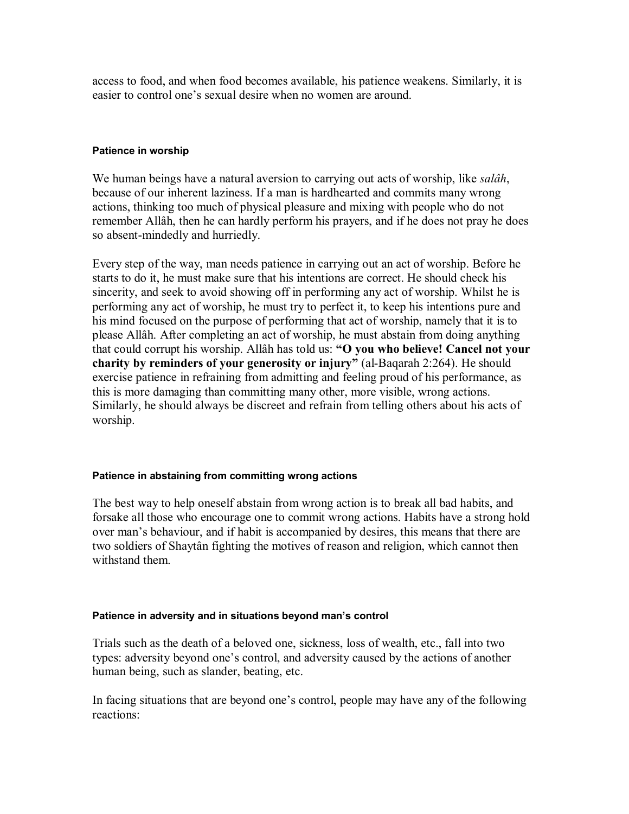access to food, and when food becomes available, his patience weakens. Similarly, it is easier to control one's sexual desire when no women are around.

#### **Patience in worship**

We human beings have a natural aversion to carrying out acts of worship, like *salâh*, because of our inherent laziness. If a man is hardhearted and commits many wrong actions, thinking too much of physical pleasure and mixing with people who do not remember Allâh, then he can hardly perform his prayers, and if he does not pray he does so absent-mindedly and hurriedly.

Every step of the way, man needs patience in carrying out an act of worship. Before he starts to do it, he must make sure that his intentions are correct. He should check his sincerity, and seek to avoid showing off in performing any act of worship. Whilst he is performing any act of worship, he must try to perfect it, to keep his intentions pure and his mind focused on the purpose of performing that act of worship, namely that it is to please Allâh. After completing an act of worship, he must abstain from doing anything that could corrupt his worship. Allâh has told us: **"O you who believe! Cancel not your charity by reminders of your generosity or injury"** (al-Baqarah 2:264). He should exercise patience in refraining from admitting and feeling proud of his performance, as this is more damaging than committing many other, more visible, wrong actions. Similarly, he should always be discreet and refrain from telling others about his acts of worship.

#### **Patience in abstaining from committing wrong actions**

The best way to help oneself abstain from wrong action is to break all bad habits, and forsake all those who encourage one to commit wrong actions. Habits have a strong hold over man's behaviour, and if habit is accompanied by desires, this means that there are two soldiers of Shaytân fighting the motives of reason and religion, which cannot then withstand them.

### **Patience in adversity and in situations beyond man's control**

Trials such as the death of a beloved one, sickness, loss of wealth, etc., fall into two types: adversity beyond one's control, and adversity caused by the actions of another human being, such as slander, beating, etc.

In facing situations that are beyond one's control, people may have any of the following reactions: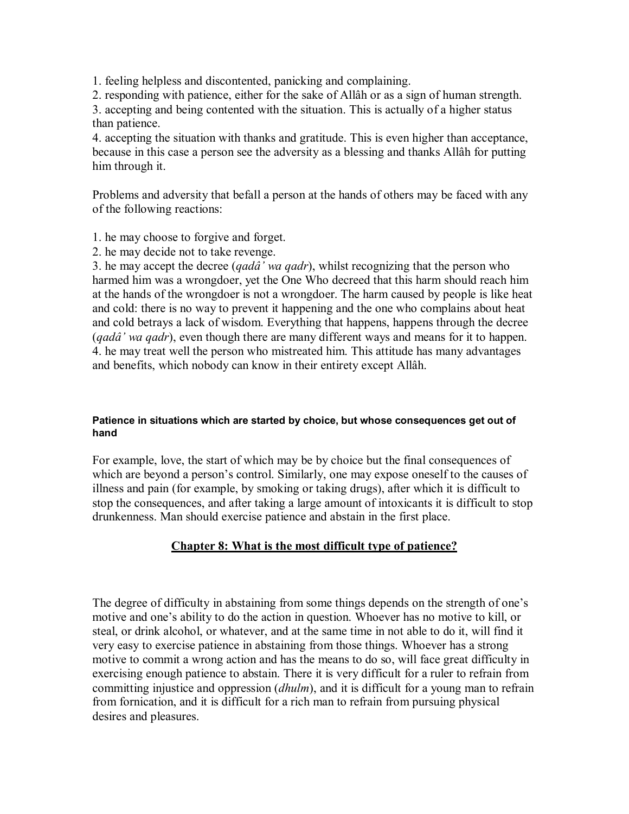1. feeling helpless and discontented, panicking and complaining.

2. responding with patience, either for the sake of Allâh or as a sign of human strength.

3. accepting and being contented with the situation. This is actually of a higher status than patience.

4. accepting the situation with thanks and gratitude. This is even higher than acceptance, because in this case a person see the adversity as a blessing and thanks Allâh for putting him through it.

Problems and adversity that befall a person at the hands of others may be faced with any of the following reactions:

1. he may choose to forgive and forget.

2. he may decide not to take revenge.

3. he may accept the decree (*qadâ' wa qadr*), whilst recognizing that the person who harmed him was a wrongdoer, yet the One Who decreed that this harm should reach him at the hands of the wrongdoer is not a wrongdoer. The harm caused by people is like heat and cold: there is no way to prevent it happening and the one who complains about heat and cold betrays a lack of wisdom. Everything that happens, happens through the decree (*qadâ' wa qadr*), even though there are many different ways and means for it to happen. 4. he may treat well the person who mistreated him. This attitude has many advantages and benefits, which nobody can know in their entirety except Allâh.

#### **Patience in situations which are started by choice, but whose consequences get out of hand**

For example, love, the start of which may be by choice but the final consequences of which are beyond a person's control. Similarly, one may expose oneself to the causes of illness and pain (for example, by smoking or taking drugs), after which it is difficult to stop the consequences, and after taking a large amount of intoxicants it is difficult to stop drunkenness. Man should exercise patience and abstain in the first place.

# **Chapter 8: What is the most difficult type of patience?**

The degree of difficulty in abstaining from some things depends on the strength of one's motive and one's ability to do the action in question. Whoever has no motive to kill, or steal, or drink alcohol, or whatever, and at the same time in not able to do it, will find it very easy to exercise patience in abstaining from those things. Whoever has a strong motive to commit a wrong action and has the means to do so, will face great difficulty in exercising enough patience to abstain. There it is very difficult for a ruler to refrain from committing injustice and oppression (*dhulm*), and it is difficult for a young man to refrain from fornication, and it is difficult for a rich man to refrain from pursuing physical desires and pleasures.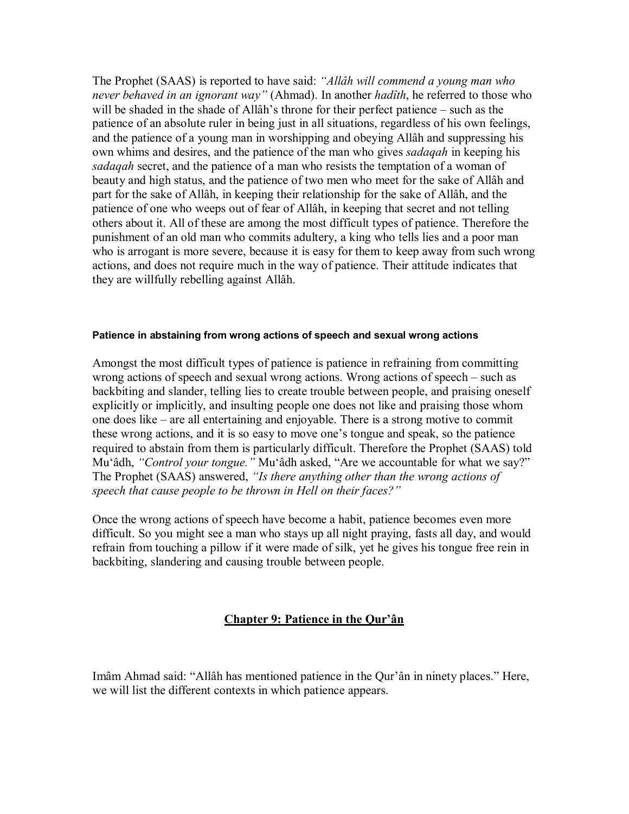The Prophet (SAAS) is reported to have said: *"Allâh will commend a young man who never behaved in an ignorant way"* (Ahmad). In another *hadîth*, he referred to those who will be shaded in the shade of Allâh's throne for their perfect patience – such as the patience of an absolute ruler in being just in all situations, regardless of his own feelings, and the patience of a young man in worshipping and obeying Allâh and suppressing his own whims and desires, and the patience of the man who gives *sadaqah* in keeping his *sadaqah* secret, and the patience of a man who resists the temptation of a woman of beauty and high status, and the patience of two men who meet for the sake of Allâh and part for the sake of Allâh, in keeping their relationship for the sake of Allâh, and the patience of one who weeps out of fear of Allâh, in keeping that secret and not telling others about it. All of these are among the most difficult types of patience. Therefore the punishment of an old man who commits adultery, a king who tells lies and a poor man who is arrogant is more severe, because it is easy for them to keep away from such wrong actions, and does not require much in the way of patience. Their attitude indicates that they are willfully rebelling against Allâh.

#### **Patience in abstaining from wrong actions of speech and sexual wrong actions**

Amongst the most difficult types of patience is patience in refraining from committing wrong actions of speech and sexual wrong actions. Wrong actions of speech – such as backbiting and slander, telling lies to create trouble between people, and praising oneself explicitly or implicitly, and insulting people one does not like and praising those whom one does like – are all entertaining and enjoyable. There is a strong motive to commit these wrong actions, and it is so easy to move one's tongue and speak, so the patience required to abstain from them is particularly difficult. Therefore the Prophet (SAAS) told Mu'âdh, *"Control your tongue."* Mu'âdh asked, "Are we accountable for what we say?" The Prophet (SAAS) answered, *"Is there anything other than the wrong actions of speech that cause people to be thrown in Hell on their faces?"* 

Once the wrong actions of speech have become a habit, patience becomes even more difficult. So you might see a man who stays up all night praying, fasts all day, and would refrain from touching a pillow if it were made of silk, yet he gives his tongue free rein in backbiting, slandering and causing trouble between people.

### **Chapter 9: Patience in the Qur'ân**

Imâm Ahmad said: "Allâh has mentioned patience in the Qur'ân in ninety places." Here, we will list the different contexts in which patience appears.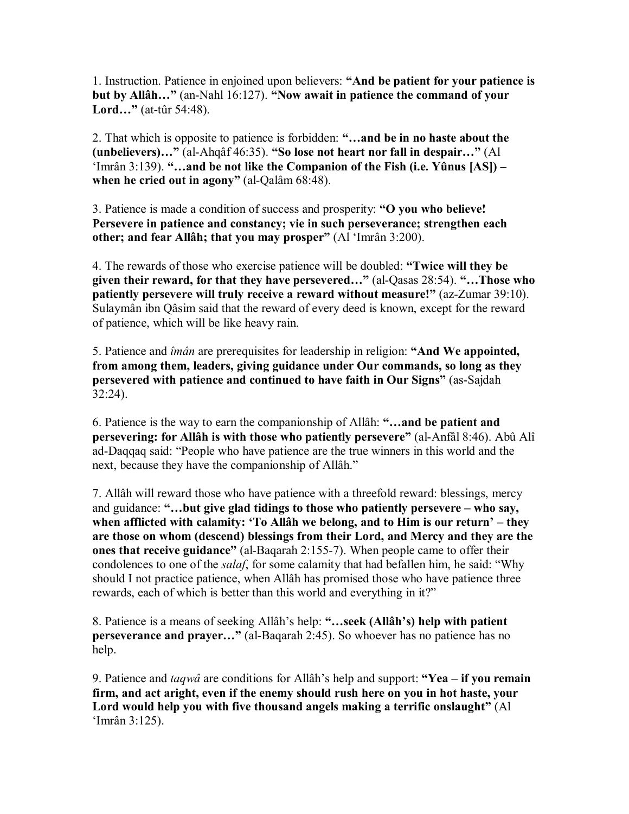1. Instruction. Patience in enjoined upon believers: **"And be patient for your patience is but by Allâh…"** (an-Nahl 16:127). **"Now await in patience the command of your Lord…"** (at-tûr 54:48).

2. That which is opposite to patience is forbidden: **"…and be in no haste about the (unbelievers)…"** (al-Ahqâf 46:35). **"So lose not heart nor fall in despair…"** (Al 'Imrân 3:139). **"…and be not like the Companion of the Fish (i.e. Yûnus [AS]) – when he cried out in agony"** (al-Qalâm 68:48).

3. Patience is made a condition of success and prosperity: **"O you who believe! Persevere in patience and constancy; vie in such perseverance; strengthen each other; and fear Allâh; that you may prosper"** (Al 'Imrân 3:200).

4. The rewards of those who exercise patience will be doubled: **"Twice will they be given their reward, for that they have persevered…"** (al-Qasas 28:54). **"…Those who patiently persevere will truly receive a reward without measure!"** (az-Zumar 39:10). Sulaymân ibn Qâsim said that the reward of every deed is known, except for the reward of patience, which will be like heavy rain.

5. Patience and *îmân* are prerequisites for leadership in religion: **"And We appointed, from among them, leaders, giving guidance under Our commands, so long as they persevered with patience and continued to have faith in Our Signs"** (as-Sajdah 32:24).

6. Patience is the way to earn the companionship of Allâh: **"…and be patient and persevering: for Allâh is with those who patiently persevere"** (al-Anfâl 8:46). Abû Alî ad-Daqqaq said: "People who have patience are the true winners in this world and the next, because they have the companionship of Allâh."

7. Allâh will reward those who have patience with a threefold reward: blessings, mercy and guidance: **"…but give glad tidings to those who patiently persevere – who say, when afflicted with calamity: 'To Allâh we belong, and to Him is our return' – they are those on whom (descend) blessings from their Lord, and Mercy and they are the ones that receive guidance"** (al-Baqarah 2:155-7). When people came to offer their condolences to one of the *salaf*, for some calamity that had befallen him, he said: "Why should I not practice patience, when Allâh has promised those who have patience three rewards, each of which is better than this world and everything in it?"

8. Patience is a means of seeking Allâh's help: **"…seek (Allâh's) help with patient perseverance and prayer…"** (al-Baqarah 2:45). So whoever has no patience has no help.

9. Patience and *taqwâ* are conditions for Allâh's help and support: **"Yea – if you remain firm, and act aright, even if the enemy should rush here on you in hot haste, your Lord would help you with five thousand angels making a terrific onslaught"** (Al 'Imrân 3:125).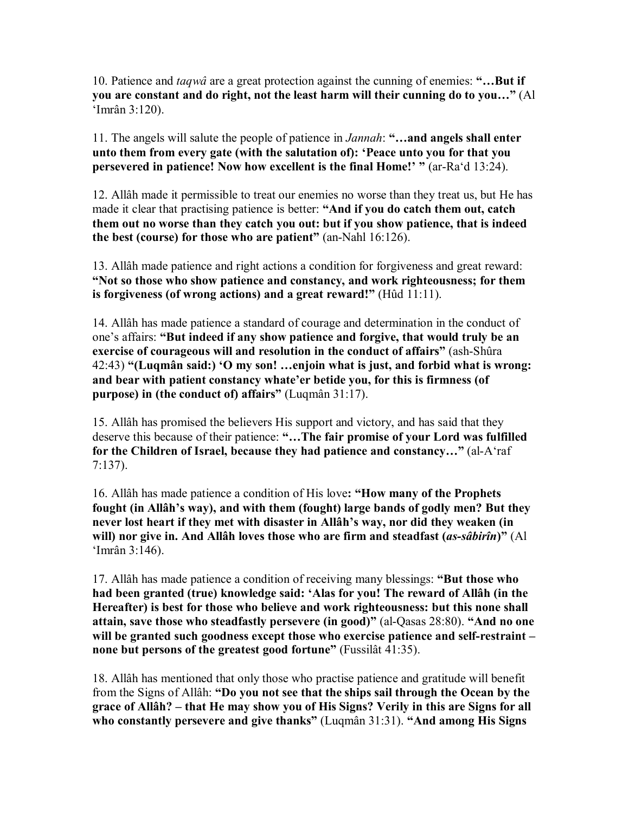10. Patience and *taqwâ* are a great protection against the cunning of enemies: **"…But if you are constant and do right, not the least harm will their cunning do to you…"** (Al 'Imrân 3:120).

11. The angels will salute the people of patience in *Jannah*: **"…and angels shall enter unto them from every gate (with the salutation of): 'Peace unto you for that you persevered in patience! Now how excellent is the final Home!' "** (ar-Ra'd 13:24).

12. Allâh made it permissible to treat our enemies no worse than they treat us, but He has made it clear that practising patience is better: **"And if you do catch them out, catch them out no worse than they catch you out: but if you show patience, that is indeed the best (course) for those who are patient"** (an-Nahl 16:126).

13. Allâh made patience and right actions a condition for forgiveness and great reward: **"Not so those who show patience and constancy, and work righteousness; for them is forgiveness (of wrong actions) and a great reward!"** (Hûd 11:11).

14. Allâh has made patience a standard of courage and determination in the conduct of one's affairs: **"But indeed if any show patience and forgive, that would truly be an exercise of courageous will and resolution in the conduct of affairs"** (ash-Shûra 42:43) **"(Luqmân said:) 'O my son! …enjoin what is just, and forbid what is wrong: and bear with patient constancy whate'er betide you, for this is firmness (of purpose) in (the conduct of) affairs"** (Luqmân 31:17).

15. Allâh has promised the believers His support and victory, and has said that they deserve this because of their patience: **"…The fair promise of your Lord was fulfilled for the Children of Israel, because they had patience and constancy…"** (al-A'raf 7:137).

16. Allâh has made patience a condition of His love**: "How many of the Prophets fought (in Allâh's way), and with them (fought) large bands of godly men? But they never lost heart if they met with disaster in Allâh's way, nor did they weaken (in will) nor give in. And Allâh loves those who are firm and steadfast (***as-sâbirîn***)"** (Al 'Imrân 3:146).

17. Allâh has made patience a condition of receiving many blessings: **"But those who had been granted (true) knowledge said: 'Alas for you! The reward of Allâh (in the Hereafter) is best for those who believe and work righteousness: but this none shall attain, save those who steadfastly persevere (in good)"** (al-Qasas 28:80). **"And no one will be granted such goodness except those who exercise patience and self-restraint – none but persons of the greatest good fortune"** (Fussilât 41:35).

18. Allâh has mentioned that only those who practise patience and gratitude will benefit from the Signs of Allâh: **"Do you not see that the ships sail through the Ocean by the grace of Allâh? – that He may show you of His Signs? Verily in this are Signs for all who constantly persevere and give thanks"** (Luqmân 31:31). **"And among His Signs**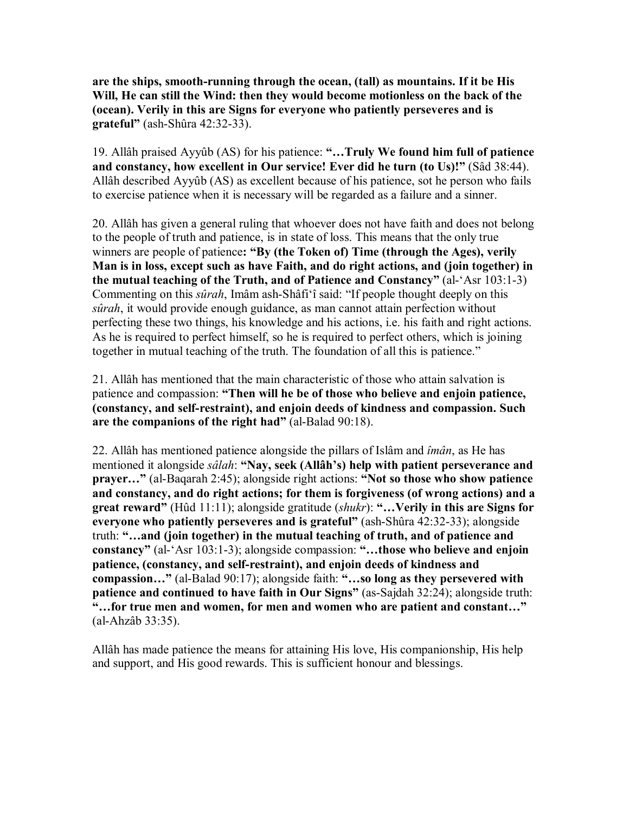**are the ships, smooth-running through the ocean, (tall) as mountains. If it be His Will, He can still the Wind: then they would become motionless on the back of the (ocean). Verily in this are Signs for everyone who patiently perseveres and is grateful"** (ash-Shûra 42:32-33).

19. Allâh praised Ayyûb (AS) for his patience: **"…Truly We found him full of patience and constancy, how excellent in Our service! Ever did he turn (to Us)!"** (Sâd 38:44). Allâh described Ayyûb (AS) as excellent because of his patience, sot he person who fails to exercise patience when it is necessary will be regarded as a failure and a sinner.

20. Allâh has given a general ruling that whoever does not have faith and does not belong to the people of truth and patience, is in state of loss. This means that the only true winners are people of patience**: "By (the Token of) Time (through the Ages), verily Man is in loss, except such as have Faith, and do right actions, and (join together) in the mutual teaching of the Truth, and of Patience and Constancy"** (al-'Asr 103:1-3) Commenting on this *sûrah*, Imâm ash-Shâfi'î said: "If people thought deeply on this *sûrah*, it would provide enough guidance, as man cannot attain perfection without perfecting these two things, his knowledge and his actions, i.e. his faith and right actions. As he is required to perfect himself, so he is required to perfect others, which is joining together in mutual teaching of the truth. The foundation of all this is patience."

21. Allâh has mentioned that the main characteristic of those who attain salvation is patience and compassion: **"Then will he be of those who believe and enjoin patience, (constancy, and self-restraint), and enjoin deeds of kindness and compassion. Such are the companions of the right had"** (al-Balad 90:18).

22. Allâh has mentioned patience alongside the pillars of Islâm and *îmân*, as He has mentioned it alongside *sâlah*: **"Nay, seek (Allâh's) help with patient perseverance and prayer…"** (al-Baqarah 2:45); alongside right actions: **"Not so those who show patience and constancy, and do right actions; for them is forgiveness (of wrong actions) and a great reward"** (Hûd 11:11); alongside gratitude (*shukr*): **"…Verily in this are Signs for everyone who patiently perseveres and is grateful"** (ash-Shûra 42:32-33); alongside truth: **"…and (join together) in the mutual teaching of truth, and of patience and constancy"** (al-'Asr 103:1-3); alongside compassion: **"…those who believe and enjoin patience, (constancy, and self-restraint), and enjoin deeds of kindness and compassion…"** (al-Balad 90:17); alongside faith: **"…so long as they persevered with patience and continued to have faith in Our Signs"** (as-Sajdah 32:24); alongside truth: **"…for true men and women, for men and women who are patient and constant…"** (al-Ahzâb 33:35).

Allâh has made patience the means for attaining His love, His companionship, His help and support, and His good rewards. This is sufficient honour and blessings.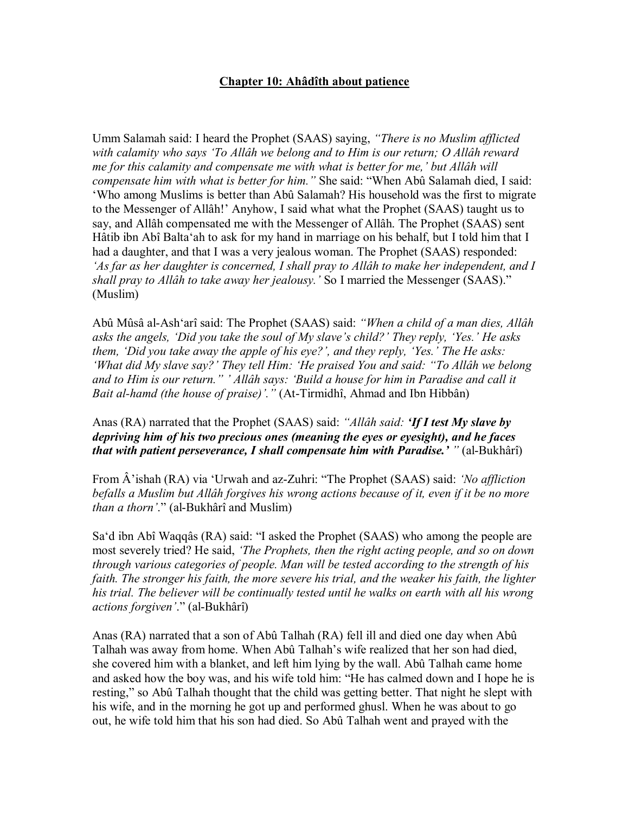# **Chapter 10: Ahâdîth about patience**

Umm Salamah said: I heard the Prophet (SAAS) saying, *"There is no Muslim afflicted with calamity who says 'To Allâh we belong and to Him is our return; O Allâh reward me for this calamity and compensate me with what is better for me,' but Allâh will compensate him with what is better for him."* She said: "When Abû Salamah died, I said: 'Who among Muslims is better than Abû Salamah? His household was the first to migrate to the Messenger of Allâh!' Anyhow, I said what what the Prophet (SAAS) taught us to say, and Allâh compensated me with the Messenger of Allâh. The Prophet (SAAS) sent Hâtib ibn Abî Balta'ah to ask for my hand in marriage on his behalf, but I told him that I had a daughter, and that I was a very jealous woman. The Prophet (SAAS) responded: *'As far as her daughter is concerned, I shall pray to Allâh to make her independent, and I shall pray to Allâh to take away her jealousy.'* So I married the Messenger (SAAS)." (Muslim)

Abû Mûsâ al-Ash'arî said: The Prophet (SAAS) said: *"When a child of a man dies, Allâh asks the angels, 'Did you take the soul of My slave's child?' They reply, 'Yes.' He asks them, 'Did you take away the apple of his eye?', and they reply, 'Yes.' The He asks: 'What did My slave say?' They tell Him: 'He praised You and said: "To Allâh we belong and to Him is our return." ' Allâh says: 'Build a house for him in Paradise and call it Bait al-hamd (the house of praise)'."* (At-Tirmidhî, Ahmad and Ibn Hibbân)

Anas (RA) narrated that the Prophet (SAAS) said: *"Allâh said: 'If I test My slave by depriving him of his two precious ones (meaning the eyes or eyesight), and he faces that with patient perseverance, I shall compensate him with Paradise.' "* (al-Bukhârî)

From Â'ishah (RA) via 'Urwah and az-Zuhri: "The Prophet (SAAS) said: *'No affliction befalls a Muslim but Allâh forgives his wrong actions because of it, even if it be no more than a thorn'*." (al-Bukhârî and Muslim)

Sa'd ibn Abî Waqqâs (RA) said: "I asked the Prophet (SAAS) who among the people are most severely tried? He said, *'The Prophets, then the right acting people, and so on down through various categories of people. Man will be tested according to the strength of his faith. The stronger his faith, the more severe his trial, and the weaker his faith, the lighter his trial. The believer will be continually tested until he walks on earth with all his wrong actions forgiven'*." (al-Bukhârî)

Anas (RA) narrated that a son of Abû Talhah (RA) fell ill and died one day when Abû Talhah was away from home. When Abû Talhah's wife realized that her son had died, she covered him with a blanket, and left him lying by the wall. Abû Talhah came home and asked how the boy was, and his wife told him: "He has calmed down and I hope he is resting," so Abû Talhah thought that the child was getting better. That night he slept with his wife, and in the morning he got up and performed ghusl. When he was about to go out, he wife told him that his son had died. So Abû Talhah went and prayed with the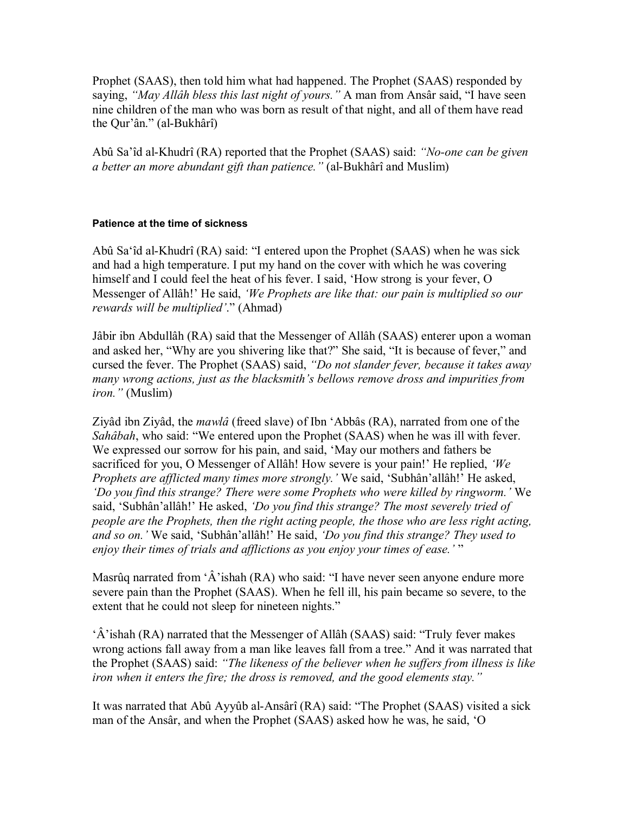Prophet (SAAS), then told him what had happened. The Prophet (SAAS) responded by saying, *"May Allâh bless this last night of yours."* A man from Ansâr said, "I have seen nine children of the man who was born as result of that night, and all of them have read the Qur'ân." (al-Bukhârî)

Abû Sa'îd al-Khudrî (RA) reported that the Prophet (SAAS) said: *"No-one can be given a better an more abundant gift than patience."* (al-Bukhârî and Muslim)

#### **Patience at the time of sickness**

Abû Sa'îd al-Khudrî (RA) said: "I entered upon the Prophet (SAAS) when he was sick and had a high temperature. I put my hand on the cover with which he was covering himself and I could feel the heat of his fever. I said, 'How strong is your fever, O Messenger of Allâh!' He said, *'We Prophets are like that: our pain is multiplied so our rewards will be multiplied'*." (Ahmad)

Jâbir ibn Abdullâh (RA) said that the Messenger of Allâh (SAAS) enterer upon a woman and asked her, "Why are you shivering like that?" She said, "It is because of fever," and cursed the fever. The Prophet (SAAS) said, *"Do not slander fever, because it takes away many wrong actions, just as the blacksmith's bellows remove dross and impurities from iron."* (Muslim)

Ziyâd ibn Ziyâd, the *mawlâ* (freed slave) of Ibn 'Abbâs (RA), narrated from one of the *Sahâbah*, who said: "We entered upon the Prophet (SAAS) when he was ill with fever. We expressed our sorrow for his pain, and said, 'May our mothers and fathers be sacrificed for you, O Messenger of Allâh! How severe is your pain!' He replied, *'We Prophets are afflicted many times more strongly.'* We said, 'Subhân'allâh!' He asked, *'Do you find this strange? There were some Prophets who were killed by ringworm.'* We said, 'Subhân'allâh!' He asked, *'Do you find this strange? The most severely tried of people are the Prophets, then the right acting people, the those who are less right acting, and so on.'* We said, 'Subhân'allâh!' He said, *'Do you find this strange? They used to enjoy their times of trials and afflictions as you enjoy your times of ease.'* "

Masrûq narrated from  $\hat{A}$ 'ishah (RA) who said: "I have never seen anyone endure more severe pain than the Prophet (SAAS). When he fell ill, his pain became so severe, to the extent that he could not sleep for nineteen nights."

'Â'ishah (RA) narrated that the Messenger of Allâh (SAAS) said: "Truly fever makes wrong actions fall away from a man like leaves fall from a tree." And it was narrated that the Prophet (SAAS) said: *"The likeness of the believer when he suffers from illness is like iron when it enters the fire; the dross is removed, and the good elements stay."*

It was narrated that Abû Ayyûb al-Ansârî (RA) said: "The Prophet (SAAS) visited a sick man of the Ansâr, and when the Prophet (SAAS) asked how he was, he said, 'O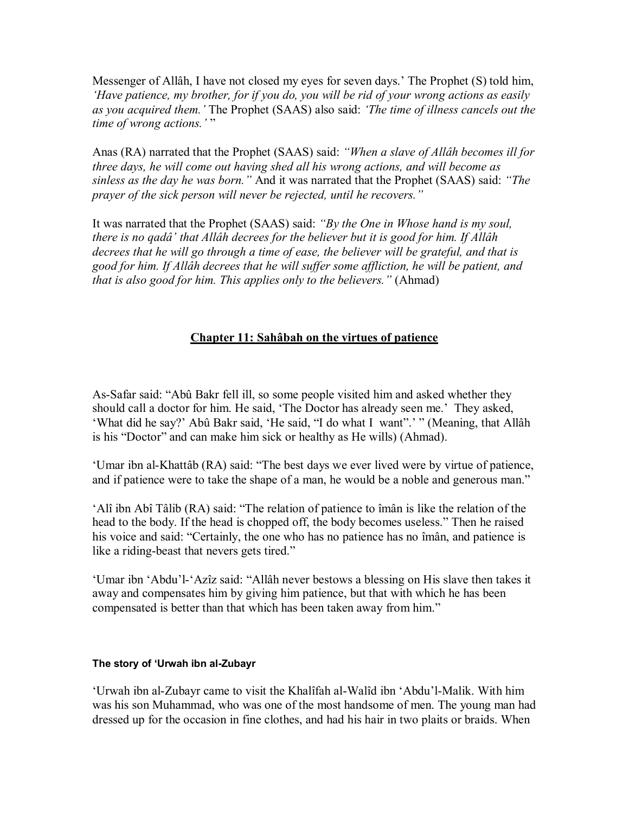Messenger of Allâh, I have not closed my eyes for seven days.' The Prophet (S) told him, *'Have patience, my brother, for if you do, you will be rid of your wrong actions as easily as you acquired them.'* The Prophet (SAAS) also said: *'The time of illness cancels out the time of wrong actions.'* "

Anas (RA) narrated that the Prophet (SAAS) said: *"When a slave of Allâh becomes ill for three days, he will come out having shed all his wrong actions, and will become as sinless as the day he was born."* And it was narrated that the Prophet (SAAS) said: *"The prayer of the sick person will never be rejected, until he recovers."* 

It was narrated that the Prophet (SAAS) said: *"By the One in Whose hand is my soul, there is no qadâ' that Allâh decrees for the believer but it is good for him. If Allâh decrees that he will go through a time of ease, the believer will be grateful, and that is good for him. If Allâh decrees that he will suffer some affliction, he will be patient, and that is also good for him. This applies only to the believers."* (Ahmad)

### **Chapter 11: Sahâbah on the virtues of patience**

As-Safar said: "Abû Bakr fell ill, so some people visited him and asked whether they should call a doctor for him. He said, 'The Doctor has already seen me.' They asked, 'What did he say?' Abû Bakr said, 'He said, "I do what I want".' " (Meaning, that Allâh is his "Doctor" and can make him sick or healthy as He wills) (Ahmad).

'Umar ibn al-Khattâb (RA) said: "The best days we ever lived were by virtue of patience, and if patience were to take the shape of a man, he would be a noble and generous man."

'Alî ibn Abî Tâlib (RA) said: "The relation of patience to îmân is like the relation of the head to the body. If the head is chopped off, the body becomes useless." Then he raised his voice and said: "Certainly, the one who has no patience has no îmân, and patience is like a riding-beast that nevers gets tired."

'Umar ibn 'Abdu'l-'Azîz said: "Allâh never bestows a blessing on His slave then takes it away and compensates him by giving him patience, but that with which he has been compensated is better than that which has been taken away from him."

#### **The story of 'Urwah ibn al-Zubayr**

'Urwah ibn al-Zubayr came to visit the Khalîfah al-Walîd ibn 'Abdu'l-Malik. With him was his son Muhammad, who was one of the most handsome of men. The young man had dressed up for the occasion in fine clothes, and had his hair in two plaits or braids. When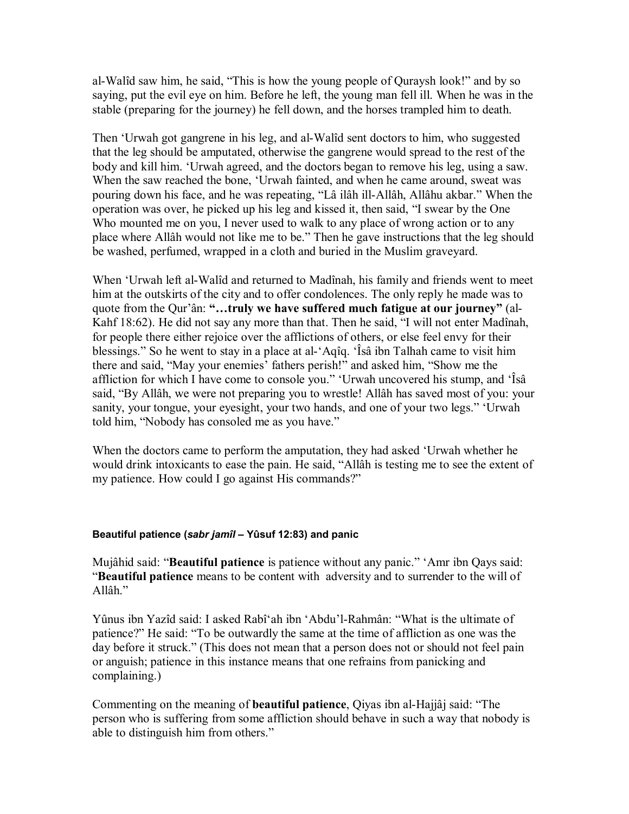al-Walîd saw him, he said, "This is how the young people of Quraysh look!" and by so saying, put the evil eye on him. Before he left, the young man fell ill. When he was in the stable (preparing for the journey) he fell down, and the horses trampled him to death.

Then 'Urwah got gangrene in his leg, and al-Walîd sent doctors to him, who suggested that the leg should be amputated, otherwise the gangrene would spread to the rest of the body and kill him. 'Urwah agreed, and the doctors began to remove his leg, using a saw. When the saw reached the bone, 'Urwah fainted, and when he came around, sweat was pouring down his face, and he was repeating, "Lâ ilâh ill-Allâh, Allâhu akbar." When the operation was over, he picked up his leg and kissed it, then said, "I swear by the One Who mounted me on you, I never used to walk to any place of wrong action or to any place where Allâh would not like me to be." Then he gave instructions that the leg should be washed, perfumed, wrapped in a cloth and buried in the Muslim graveyard.

When 'Urwah left al-Walîd and returned to Madînah, his family and friends went to meet him at the outskirts of the city and to offer condolences. The only reply he made was to quote from the Qur'ân: **"…truly we have suffered much fatigue at our journey"** (al-Kahf 18:62). He did not say any more than that. Then he said, "I will not enter Madînah, for people there either rejoice over the afflictions of others, or else feel envy for their blessings." So he went to stay in a place at al-'Aqîq. 'Îsâ ibn Talhah came to visit him there and said, "May your enemies' fathers perish!" and asked him, "Show me the affliction for which I have come to console you." 'Urwah uncovered his stump, and 'Îsâ said, "By Allâh, we were not preparing you to wrestle! Allâh has saved most of you: your sanity, your tongue, your eyesight, your two hands, and one of your two legs." 'Urwah told him, "Nobody has consoled me as you have."

When the doctors came to perform the amputation, they had asked 'Urwah whether he would drink intoxicants to ease the pain. He said, "Allâh is testing me to see the extent of my patience. How could I go against His commands?"

### **Beautiful patience (***sabr jamîl* **– Yûsuf 12:83) and panic**

Mujâhid said: "**Beautiful patience** is patience without any panic." 'Amr ibn Qays said: "**Beautiful patience** means to be content with adversity and to surrender to the will of Allâh<sup>"</sup>

Yûnus ibn Yazîd said: I asked Rabî'ah ibn 'Abdu'l-Rahmân: "What is the ultimate of patience?" He said: "To be outwardly the same at the time of affliction as one was the day before it struck." (This does not mean that a person does not or should not feel pain or anguish; patience in this instance means that one refrains from panicking and complaining.)

Commenting on the meaning of **beautiful patience**, Qiyas ibn al-Hajjâj said: "The person who is suffering from some affliction should behave in such a way that nobody is able to distinguish him from others."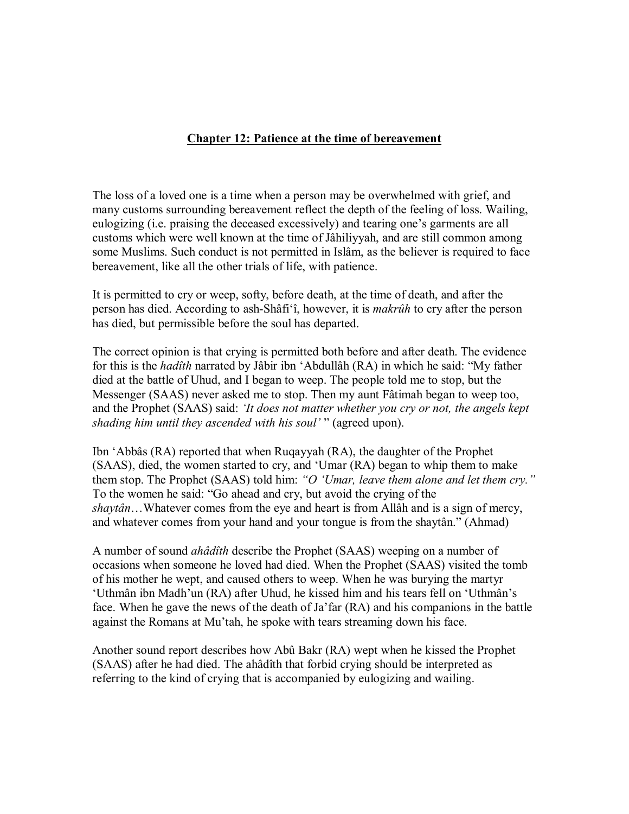## **Chapter 12: Patience at the time of bereavement**

The loss of a loved one is a time when a person may be overwhelmed with grief, and many customs surrounding bereavement reflect the depth of the feeling of loss. Wailing, eulogizing (i.e. praising the deceased excessively) and tearing one's garments are all customs which were well known at the time of Jâhiliyyah, and are still common among some Muslims. Such conduct is not permitted in Islâm, as the believer is required to face bereavement, like all the other trials of life, with patience.

It is permitted to cry or weep, softy, before death, at the time of death, and after the person has died. According to ash-Shâfi'î, however, it is *makrûh* to cry after the person has died, but permissible before the soul has departed.

The correct opinion is that crying is permitted both before and after death. The evidence for this is the *hadîth* narrated by Jâbir ibn 'Abdullâh (RA) in which he said: "My father died at the battle of Uhud, and I began to weep. The people told me to stop, but the Messenger (SAAS) never asked me to stop. Then my aunt Fâtimah began to weep too, and the Prophet (SAAS) said: *'It does not matter whether you cry or not, the angels kept shading him until they ascended with his soul'* " (agreed upon).

Ibn 'Abbâs (RA) reported that when Ruqayyah (RA), the daughter of the Prophet (SAAS), died, the women started to cry, and 'Umar (RA) began to whip them to make them stop. The Prophet (SAAS) told him: *"O 'Umar, leave them alone and let them cry."* To the women he said: "Go ahead and cry, but avoid the crying of the *shaytân*…Whatever comes from the eye and heart is from Allâh and is a sign of mercy, and whatever comes from your hand and your tongue is from the shaytân." (Ahmad)

A number of sound *ahâdîth* describe the Prophet (SAAS) weeping on a number of occasions when someone he loved had died. When the Prophet (SAAS) visited the tomb of his mother he wept, and caused others to weep. When he was burying the martyr 'Uthmân ibn Madh'un (RA) after Uhud, he kissed him and his tears fell on 'Uthmân's face. When he gave the news of the death of Ja'far (RA) and his companions in the battle against the Romans at Mu'tah, he spoke with tears streaming down his face.

Another sound report describes how Abû Bakr (RA) wept when he kissed the Prophet (SAAS) after he had died. The ahâdîth that forbid crying should be interpreted as referring to the kind of crying that is accompanied by eulogizing and wailing.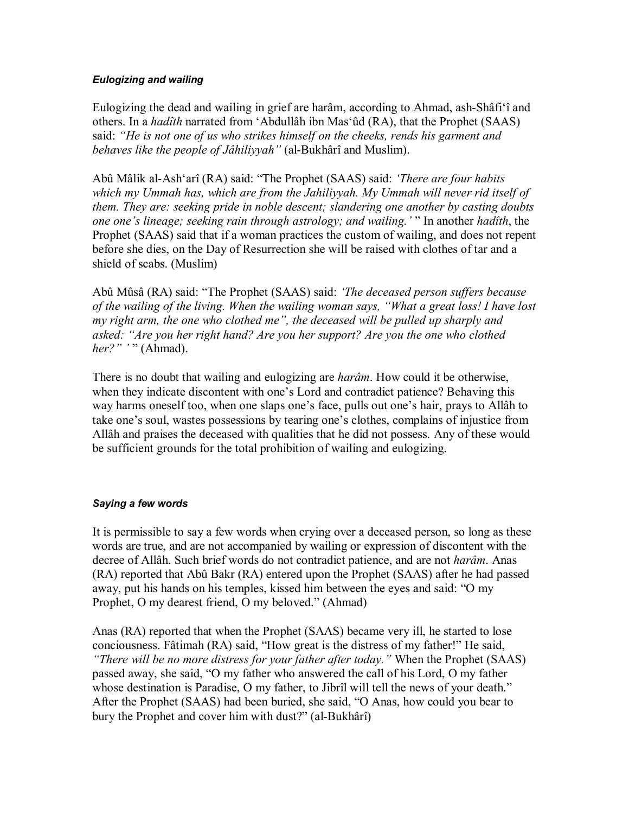### *Eulogizing and wailing*

Eulogizing the dead and wailing in grief are harâm, according to Ahmad, ash-Shâfi'î and others. In a *hadîth* narrated from 'Abdullâh ibn Mas'ûd (RA), that the Prophet (SAAS) said: *"He is not one of us who strikes himself on the cheeks, rends his garment and behaves like the people of Jâhiliyyah"* (al-Bukhârî and Muslim).

Abû Mâlik al-Ash'arî (RA) said: "The Prophet (SAAS) said: *'There are four habits which my Ummah has, which are from the Jahiliyyah. My Ummah will never rid itself of them. They are: seeking pride in noble descent; slandering one another by casting doubts one one's lineage; seeking rain through astrology; and wailing.'* " In another *hadîth*, the Prophet (SAAS) said that if a woman practices the custom of wailing, and does not repent before she dies, on the Day of Resurrection she will be raised with clothes of tar and a shield of scabs. (Muslim)

Abû Mûsâ (RA) said: "The Prophet (SAAS) said: *'The deceased person suffers because of the wailing of the living. When the wailing woman says, "What a great loss! I have lost my right arm, the one who clothed me", the deceased will be pulled up sharply and asked: "Are you her right hand? Are you her support? Are you the one who clothed her?"* '" (Ahmad).

There is no doubt that wailing and eulogizing are *harâm*. How could it be otherwise, when they indicate discontent with one's Lord and contradict patience? Behaving this way harms oneself too, when one slaps one's face, pulls out one's hair, prays to Allâh to take one's soul, wastes possessions by tearing one's clothes, complains of injustice from Allâh and praises the deceased with qualities that he did not possess. Any of these would be sufficient grounds for the total prohibition of wailing and eulogizing.

### *Saying a few words*

It is permissible to say a few words when crying over a deceased person, so long as these words are true, and are not accompanied by wailing or expression of discontent with the decree of Allâh. Such brief words do not contradict patience, and are not *harâm*. Anas (RA) reported that Abû Bakr (RA) entered upon the Prophet (SAAS) after he had passed away, put his hands on his temples, kissed him between the eyes and said: "O my Prophet, O my dearest friend, O my beloved." (Ahmad)

Anas (RA) reported that when the Prophet (SAAS) became very ill, he started to lose conciousness. Fâtimah (RA) said, "How great is the distress of my father!" He said, *"There will be no more distress for your father after today."* When the Prophet (SAAS) passed away, she said, "O my father who answered the call of his Lord, O my father whose destination is Paradise, O my father, to Jibrîl will tell the news of your death." After the Prophet (SAAS) had been buried, she said, "O Anas, how could you bear to bury the Prophet and cover him with dust?" (al-Bukhârî)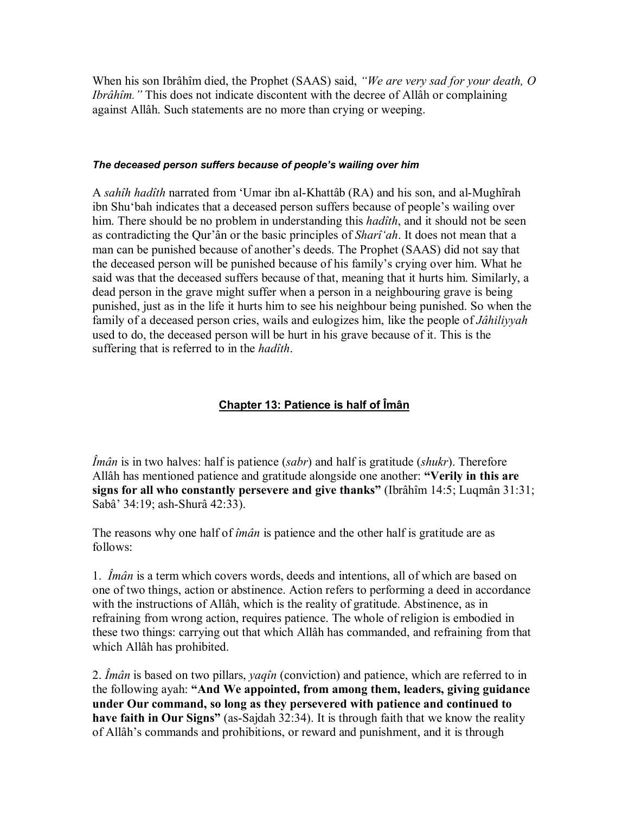When his son Ibrâhîm died, the Prophet (SAAS) said, *"We are very sad for your death, O Ibrâhîm."* This does not indicate discontent with the decree of Allâh or complaining against Allâh. Such statements are no more than crying or weeping.

#### *The deceased person suffers because of people's wailing over him*

A *sahîh hadîth* narrated from 'Umar ibn al-Khattâb (RA) and his son, and al-Mughîrah ibn Shu'bah indicates that a deceased person suffers because of people's wailing over him. There should be no problem in understanding this *hadîth*, and it should not be seen as contradicting the Qur'ân or the basic principles of *Sharî'ah*. It does not mean that a man can be punished because of another's deeds. The Prophet (SAAS) did not say that the deceased person will be punished because of his family's crying over him. What he said was that the deceased suffers because of that, meaning that it hurts him. Similarly, a dead person in the grave might suffer when a person in a neighbouring grave is being punished, just as in the life it hurts him to see his neighbour being punished. So when the family of a deceased person cries, wails and eulogizes him, like the people of *Jâhiliyyah* used to do, the deceased person will be hurt in his grave because of it. This is the suffering that is referred to in the *hadîth*.

# **Chapter 13: Patience is half of Îmân**

*Îmân* is in two halves: half is patience (*sabr*) and half is gratitude (*shukr*). Therefore Allâh has mentioned patience and gratitude alongside one another: **"Verily in this are signs for all who constantly persevere and give thanks"** (Ibrâhîm 14:5; Luqmân 31:31; Sabâ' 34:19; ash-Shurâ 42:33).

The reasons why one half of *îmân* is patience and the other half is gratitude are as follows:

1. *Îmân* is a term which covers words, deeds and intentions, all of which are based on one of two things, action or abstinence. Action refers to performing a deed in accordance with the instructions of Allâh, which is the reality of gratitude. Abstinence, as in refraining from wrong action, requires patience. The whole of religion is embodied in these two things: carrying out that which Allâh has commanded, and refraining from that which Allâh has prohibited.

2. *Îmân* is based on two pillars, *yaqîn* (conviction) and patience, which are referred to in the following ayah: **"And We appointed, from among them, leaders, giving guidance under Our command, so long as they persevered with patience and continued to have faith in Our Signs"** (as-Sajdah 32:34). It is through faith that we know the reality of Allâh's commands and prohibitions, or reward and punishment, and it is through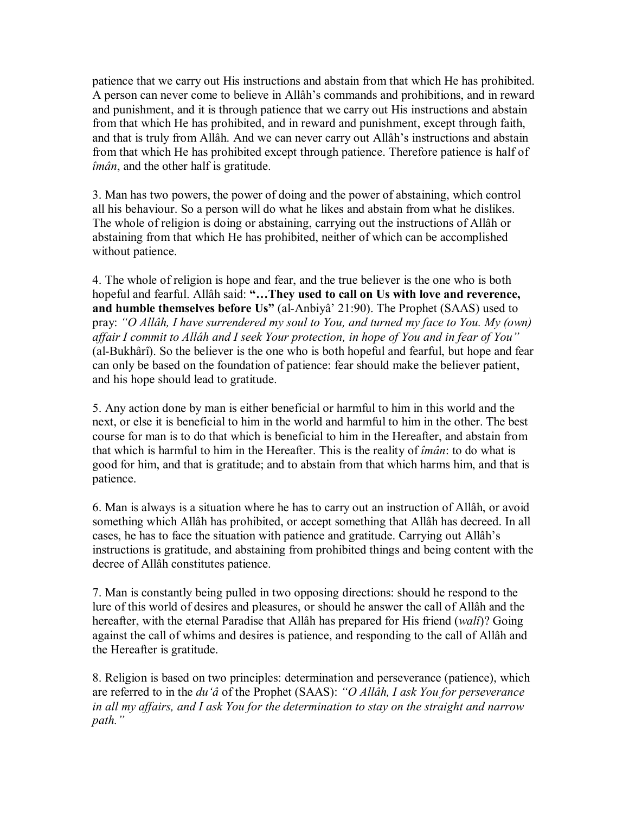patience that we carry out His instructions and abstain from that which He has prohibited. A person can never come to believe in Allâh's commands and prohibitions, and in reward and punishment, and it is through patience that we carry out His instructions and abstain from that which He has prohibited, and in reward and punishment, except through faith, and that is truly from Allâh. And we can never carry out Allâh's instructions and abstain from that which He has prohibited except through patience. Therefore patience is half of *îmân*, and the other half is gratitude.

3. Man has two powers, the power of doing and the power of abstaining, which control all his behaviour. So a person will do what he likes and abstain from what he dislikes. The whole of religion is doing or abstaining, carrying out the instructions of Allâh or abstaining from that which He has prohibited, neither of which can be accomplished without patience.

4. The whole of religion is hope and fear, and the true believer is the one who is both hopeful and fearful. Allâh said: **"…They used to call on Us with love and reverence, and humble themselves before Us"** (al-Anbiyâ' 21:90). The Prophet (SAAS) used to pray: *"O Allâh, I have surrendered my soul to You, and turned my face to You. My (own) affair I commit to Allâh and I seek Your protection, in hope of You and in fear of You"* (al-Bukhârî). So the believer is the one who is both hopeful and fearful, but hope and fear can only be based on the foundation of patience: fear should make the believer patient, and his hope should lead to gratitude.

5. Any action done by man is either beneficial or harmful to him in this world and the next, or else it is beneficial to him in the world and harmful to him in the other. The best course for man is to do that which is beneficial to him in the Hereafter, and abstain from that which is harmful to him in the Hereafter. This is the reality of *îmân*: to do what is good for him, and that is gratitude; and to abstain from that which harms him, and that is patience.

6. Man is always is a situation where he has to carry out an instruction of Allâh, or avoid something which Allâh has prohibited, or accept something that Allâh has decreed. In all cases, he has to face the situation with patience and gratitude. Carrying out Allâh's instructions is gratitude, and abstaining from prohibited things and being content with the decree of Allâh constitutes patience.

7. Man is constantly being pulled in two opposing directions: should he respond to the lure of this world of desires and pleasures, or should he answer the call of Allâh and the hereafter, with the eternal Paradise that Allâh has prepared for His friend (*walî*)? Going against the call of whims and desires is patience, and responding to the call of Allâh and the Hereafter is gratitude.

8. Religion is based on two principles: determination and perseverance (patience), which are referred to in the *du'â* of the Prophet (SAAS): *"O Allâh, I ask You for perseverance in all my affairs, and I ask You for the determination to stay on the straight and narrow path."*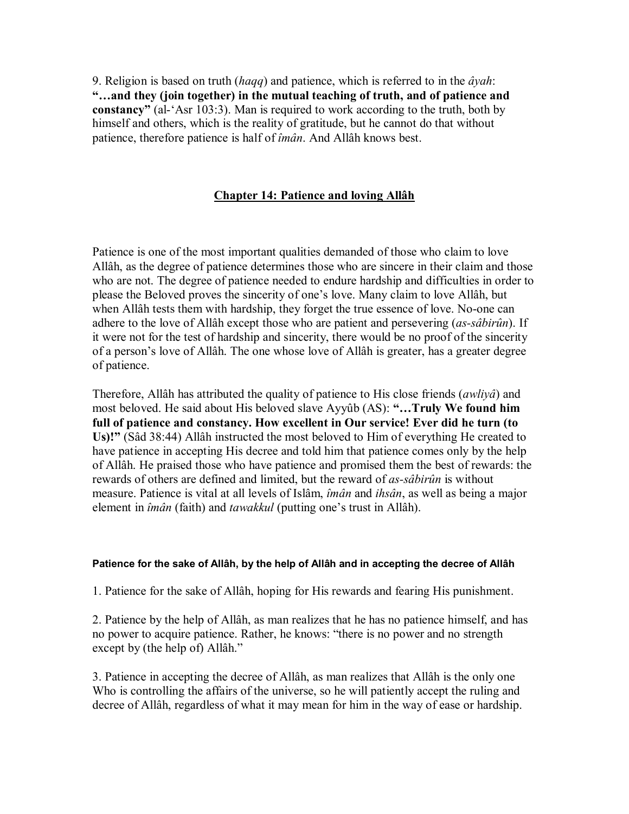9. Religion is based on truth (*haqq*) and patience, which is referred to in the *âyah*: **"…and they (join together) in the mutual teaching of truth, and of patience and constancy"** (al-'Asr 103:3). Man is required to work according to the truth, both by himself and others, which is the reality of gratitude, but he cannot do that without patience, therefore patience is half of *îmân*. And Allâh knows best.

## **Chapter 14: Patience and loving Allâh**

Patience is one of the most important qualities demanded of those who claim to love Allâh, as the degree of patience determines those who are sincere in their claim and those who are not. The degree of patience needed to endure hardship and difficulties in order to please the Beloved proves the sincerity of one's love. Many claim to love Allâh, but when Allâh tests them with hardship, they forget the true essence of love. No-one can adhere to the love of Allâh except those who are patient and persevering (*as-sâbirûn*). If it were not for the test of hardship and sincerity, there would be no proof of the sincerity of a person's love of Allâh. The one whose love of Allâh is greater, has a greater degree of patience.

Therefore, Allâh has attributed the quality of patience to His close friends (*awliyâ*) and most beloved. He said about His beloved slave Ayyûb (AS): **"…Truly We found him full of patience and constancy. How excellent in Our service! Ever did he turn (to Us)!"** (Sâd 38:44) Allâh instructed the most beloved to Him of everything He created to have patience in accepting His decree and told him that patience comes only by the help of Allâh. He praised those who have patience and promised them the best of rewards: the rewards of others are defined and limited, but the reward of *as-sâbirûn* is without measure. Patience is vital at all levels of Islâm, *îmân* and *ihsân*, as well as being a major element in *îmân* (faith) and *tawakkul* (putting one's trust in Allâh).

#### **Patience for the sake of Allâh, by the help of Allâh and in accepting the decree of Allâh**

1. Patience for the sake of Allâh, hoping for His rewards and fearing His punishment.

2. Patience by the help of Allâh, as man realizes that he has no patience himself, and has no power to acquire patience. Rather, he knows: "there is no power and no strength except by (the help of) Allâh."

3. Patience in accepting the decree of Allâh, as man realizes that Allâh is the only one Who is controlling the affairs of the universe, so he will patiently accept the ruling and decree of Allâh, regardless of what it may mean for him in the way of ease or hardship.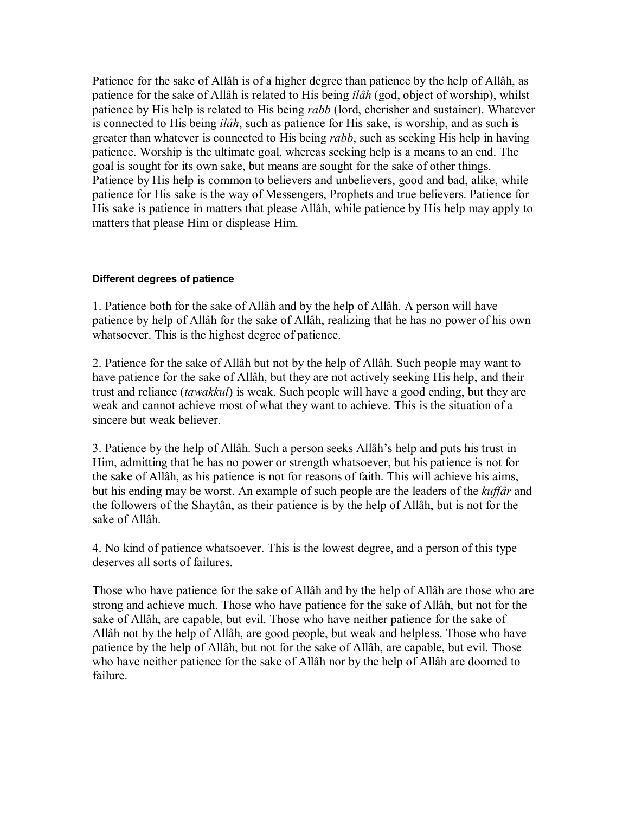Patience for the sake of Allâh is of a higher degree than patience by the help of Allâh, as patience for the sake of Allâh is related to His being *ilâh* (god, object of worship), whilst patience by His help is related to His being *rabb* (lord, cherisher and sustainer). Whatever is connected to His being *ilâh*, such as patience for His sake, is worship, and as such is greater than whatever is connected to His being *rabb*, such as seeking His help in having patience. Worship is the ultimate goal, whereas seeking help is a means to an end. The goal is sought for its own sake, but means are sought for the sake of other things. Patience by His help is common to believers and unbelievers, good and bad, alike, while patience for His sake is the way of Messengers, Prophets and true believers. Patience for His sake is patience in matters that please Allâh, while patience by His help may apply to matters that please Him or displease Him.

#### **Different degrees of patience**

1. Patience both for the sake of Allâh and by the help of Allâh. A person will have patience by help of Allâh for the sake of Allâh, realizing that he has no power of his own whatsoever. This is the highest degree of patience.

2. Patience for the sake of Allâh but not by the help of Allâh. Such people may want to have patience for the sake of Allâh, but they are not actively seeking His help, and their trust and reliance (*tawakkul*) is weak. Such people will have a good ending, but they are weak and cannot achieve most of what they want to achieve. This is the situation of a sincere but weak believer.

3. Patience by the help of Allâh. Such a person seeks Allâh's help and puts his trust in Him, admitting that he has no power or strength whatsoever, but his patience is not for the sake of Allâh, as his patience is not for reasons of faith. This will achieve his aims, but his ending may be worst. An example of such people are the leaders of the *kuffâr* and the followers of the Shaytân, as their patience is by the help of Allâh, but is not for the sake of Allâh.

4. No kind of patience whatsoever. This is the lowest degree, and a person of this type deserves all sorts of failures.

Those who have patience for the sake of Allâh and by the help of Allâh are those who are strong and achieve much. Those who have patience for the sake of Allâh, but not for the sake of Allâh, are capable, but evil. Those who have neither patience for the sake of Allâh not by the help of Allâh, are good people, but weak and helpless. Those who have patience by the help of Allâh, but not for the sake of Allâh, are capable, but evil. Those who have neither patience for the sake of Allâh nor by the help of Allâh are doomed to failure.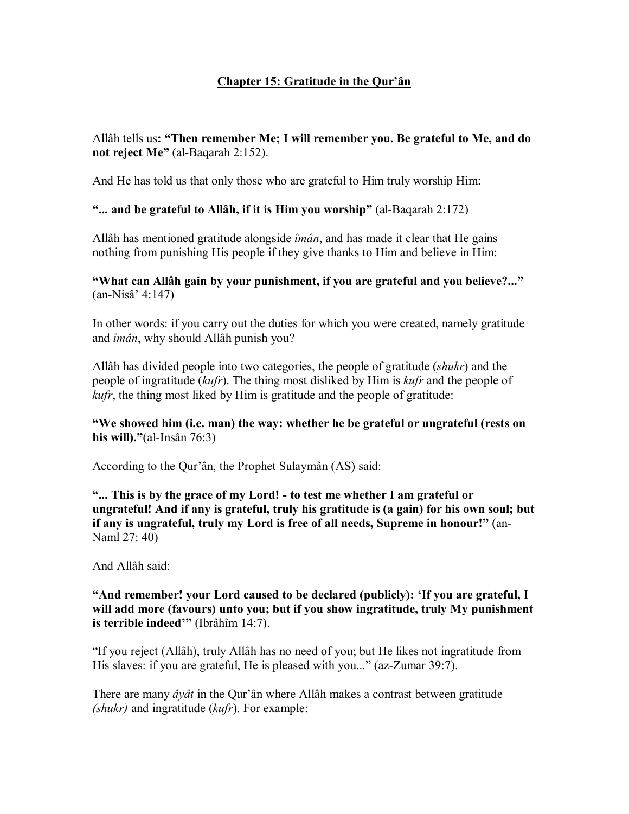# **Chapter 15: Gratitude in the Qur'ân**

Allâh tells us**: "Then remember Me; I will remember you. Be grateful to Me, and do not reject Me"** (al-Baqarah 2:152).

And He has told us that only those who are grateful to Him truly worship Him:

# **"... and be grateful to Allâh, if it is Him you worship"** (al-Baqarah 2:172)

Allâh has mentioned gratitude alongside *îmân*, and has made it clear that He gains nothing from punishing His people if they give thanks to Him and believe in Him:

**"What can Allâh gain by your punishment, if you are grateful and you believe?..."**  (an-Nisâ' 4:147)

In other words: if you carry out the duties for which you were created, namely gratitude and *îmân*, why should Allâh punish you?

Allâh has divided people into two categories, the people of gratitude (*shukr*) and the people of ingratitude (*kufr*). The thing most disliked by Him is *kufr* and the people of *kufr*, the thing most liked by Him is gratitude and the people of gratitude:

**"We showed him (i.e. man) the way: whether he be grateful or ungrateful (rests on his will)."**(al-Insân 76:3)

According to the Qur'ân, the Prophet Sulaymân (AS) said:

**"... This is by the grace of my Lord! - to test me whether I am grateful or ungrateful! And if any is grateful, truly his gratitude is (a gain) for his own soul; but if any is ungrateful, truly my Lord is free of all needs, Supreme in honour!"** (an-Naml 27: 40)

And Allâh said:

**"And remember! your Lord caused to be declared (publicly): 'If you are grateful, I will add more (favours) unto you; but if you show ingratitude, truly My punishment is terrible indeed'"** (Ibrâhîm 14:7).

"If you reject (Allâh), truly Allâh has no need of you; but He likes not ingratitude from His slaves: if you are grateful, He is pleased with you..." (az-Zumar 39:7).

There are many *âyât* in the Qur'ân where Allâh makes a contrast between gratitude *(shukr)* and ingratitude (*kufr*). For example: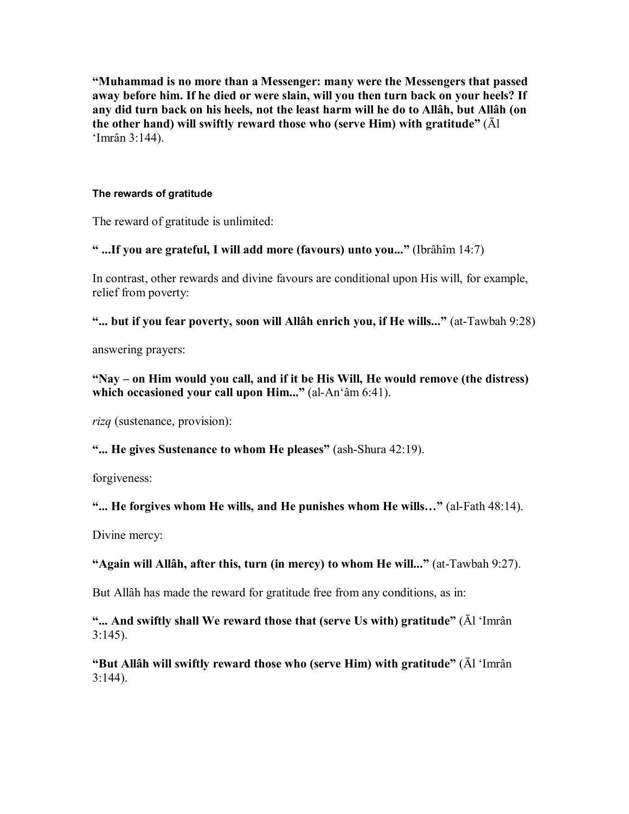**"Muhammad is no more than a Messenger: many were the Messengers that passed away before him. If he died or were slain, will you then turn back on your heels? If any did turn back on his heels, not the least harm will he do to Allâh, but Allâh (on the other hand) will swiftly reward those who (serve Him) with gratitude"** (Āl 'Imrân 3:144).

### **The rewards of gratitude**

The reward of gratitude is unlimited:

**" ...If you are grateful, I will add more (favours) unto you..."** (Ibrâhîm 14:7)

In contrast, other rewards and divine favours are conditional upon His will, for example, relief from poverty:

**"... but if you fear poverty, soon will Allâh enrich you, if He wills..."** (at-Tawbah 9:28)

answering prayers:

**"Nay – on Him would you call, and if it be His Will, He would remove (the distress) which occasioned your call upon Him..."** (al-An'âm 6:41).

*rizq* (sustenance, provision):

**"... He gives Sustenance to whom He pleases"** (ash-Shura 42:19).

forgiveness:

**"... He forgives whom He wills, and He punishes whom He wills…"** (al-Fath 48:14).

Divine mercy:

**"Again will Allâh, after this, turn (in mercy) to whom He will..."** (at-Tawbah 9:27).

But Allâh has made the reward for gratitude free from any conditions, as in:

**"... And swiftly shall We reward those that (serve Us with) gratitude"** (Āl 'Imrân  $3:145$ ).

**"But Allâh will swiftly reward those who (serve Him) with gratitude"** (Āl 'Imrân  $3:144$ ).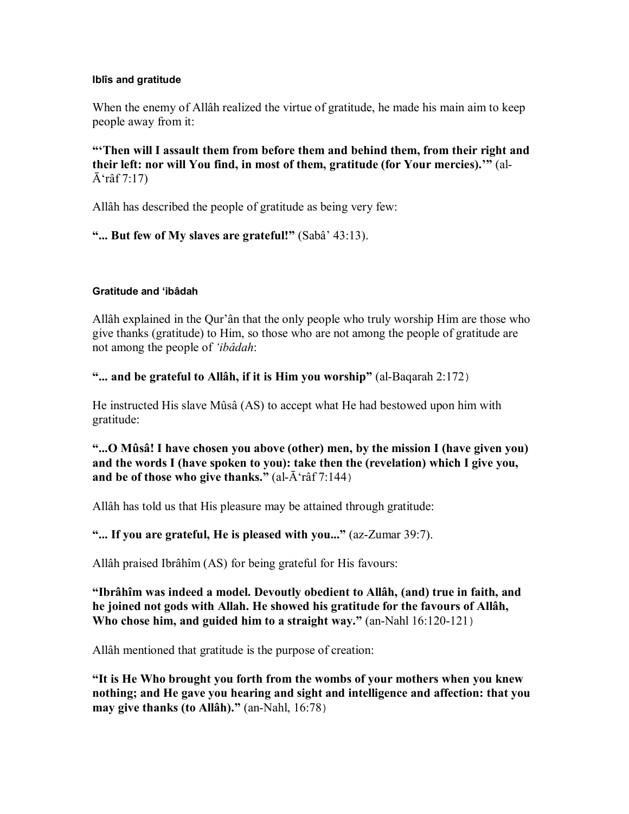### **Iblîs and gratitude**

When the enemy of Allâh realized the virtue of gratitude, he made his main aim to keep people away from it:

**"'Then will I assault them from before them and behind them, from their right and their left: nor will You find, in most of them, gratitude (for Your mercies).'"** (al- $\bar{A}$ 'râf 7:17)

Allâh has described the people of gratitude as being very few:

# **"... But few of My slaves are grateful!"** (Sabâ' 43:13).

### **Gratitude and 'ibâdah**

Allâh explained in the Qur'ân that the only people who truly worship Him are those who give thanks (gratitude) to Him, so those who are not among the people of gratitude are not among the people of *'ibâdah*:

**"... and be grateful to Allâh, if it is Him you worship"** (al-Baqarah 2:172)

He instructed His slave Mûsâ (AS) to accept what He had bestowed upon him with gratitude:

**"...O Mûsâ! I have chosen you above (other) men, by the mission I (have given you) and the words I (have spoken to you): take then the (revelation) which I give you, and be of those who give thanks."** (al-Ā'râf 7:144)

Allâh has told us that His pleasure may be attained through gratitude:

**"... If you are grateful, He is pleased with you..."** (az-Zumar 39:7).

Allâh praised Ibrâhîm (AS) for being grateful for His favours:

**"Ibrâhîm was indeed a model. Devoutly obedient to Allâh, (and) true in faith, and he joined not gods with Allah. He showed his gratitude for the favours of Allâh, Who chose him, and guided him to a straight way."** (an-Nahl 16:120-121)

Allâh mentioned that gratitude is the purpose of creation:

**"It is He Who brought you forth from the wombs of your mothers when you knew nothing; and He gave you hearing and sight and intelligence and affection: that you may give thanks (to Allâh)."** (an-Nahl, 16:78)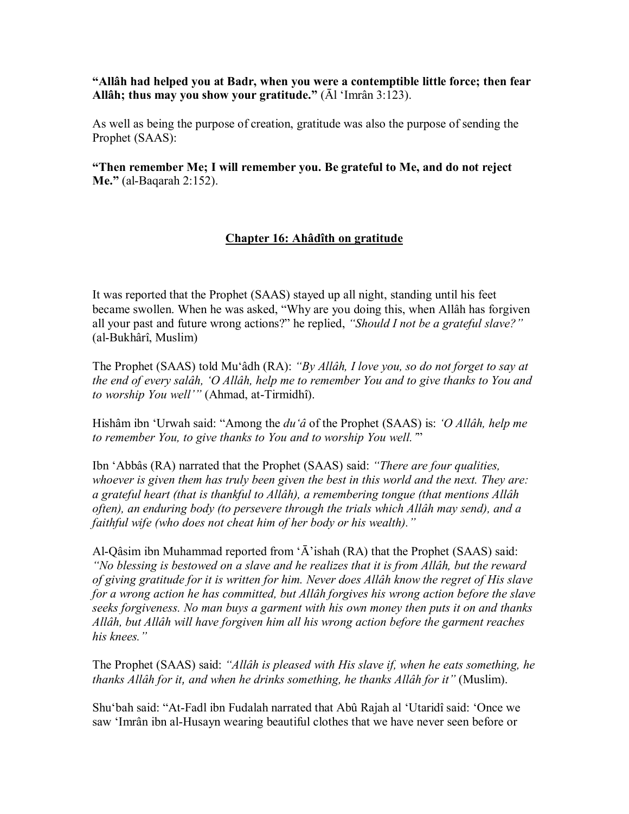### **"Allâh had helped you at Badr, when you were a contemptible little force; then fear Allâh; thus may you show your gratitude."** (Āl 'Imrân 3:123).

As well as being the purpose of creation, gratitude was also the purpose of sending the Prophet (SAAS):

**"Then remember Me; I will remember you. Be grateful to Me, and do not reject Me."** (al-Baqarah 2:152).

# **Chapter 16: Ahâdîth on gratitude**

It was reported that the Prophet (SAAS) stayed up all night, standing until his feet became swollen. When he was asked, "Why are you doing this, when Allâh has forgiven all your past and future wrong actions?" he replied, *"Should I not be a grateful slave?"* (al-Bukhârî, Muslim)

The Prophet (SAAS) told Mu'âdh (RA): *"By Allâh, I love you, so do not forget to say at the end of every salâh, 'O Allâh, help me to remember You and to give thanks to You and to worship You well'"* (Ahmad, at-Tirmidhî).

Hishâm ibn 'Urwah said: "Among the *du'â* of the Prophet (SAAS) is: *'O Allâh, help me to remember You, to give thanks to You and to worship You well.'*"

Ibn 'Abbâs (RA) narrated that the Prophet (SAAS) said: *"There are four qualities, whoever is given them has truly been given the best in this world and the next. They are: a grateful heart (that is thankful to Allâh), a remembering tongue (that mentions Allâh often), an enduring body (to persevere through the trials which Allâh may send), and a faithful wife (who does not cheat him of her body or his wealth)."* 

Al-Qâsim ibn Muhammad reported from 'Ā'ishah (RA) that the Prophet (SAAS) said: *"No blessing is bestowed on a slave and he realizes that it is from Allâh, but the reward of giving gratitude for it is written for him. Never does Allâh know the regret of His slave for a wrong action he has committed, but Allâh forgives his wrong action before the slave seeks forgiveness. No man buys a garment with his own money then puts it on and thanks Allâh, but Allâh will have forgiven him all his wrong action before the garment reaches his knees."* 

The Prophet (SAAS) said: *"Allâh is pleased with His slave if, when he eats something, he thanks Allâh for it, and when he drinks something, he thanks Allâh for it"* (Muslim).

Shu'bah said: "At-Fadl ibn Fudalah narrated that Abû Rajah al 'Utaridî said: 'Once we saw 'Imrân ibn al-Husayn wearing beautiful clothes that we have never seen before or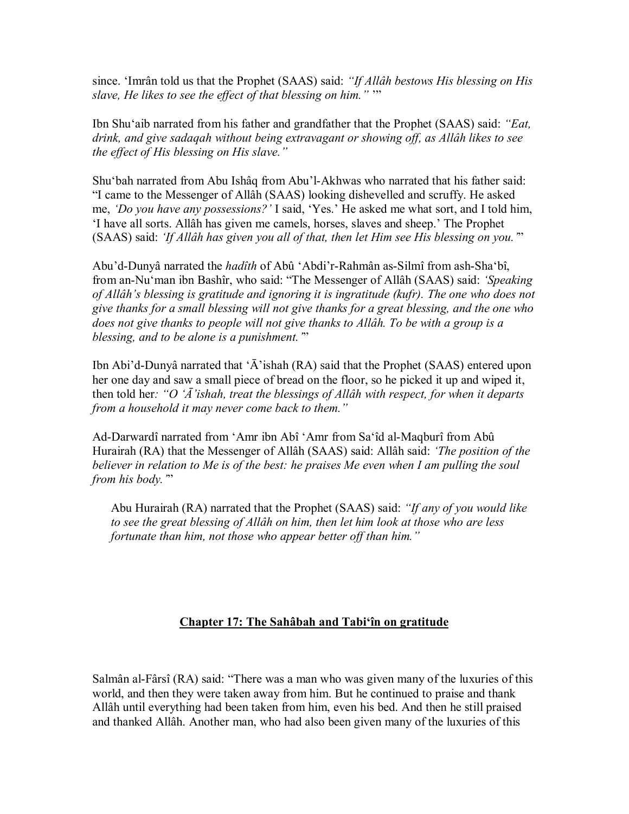since. 'Imrân told us that the Prophet (SAAS) said: *"If Allâh bestows His blessing on His slave, He likes to see the effect of that blessing on him."* '"

Ibn Shu'aib narrated from his father and grandfather that the Prophet (SAAS) said: *"Eat, drink, and give sadaqah without being extravagant or showing off, as Allâh likes to see the effect of His blessing on His slave."* 

Shu'bah narrated from Abu Ishâq from Abu'l-Akhwas who narrated that his father said: "I came to the Messenger of Allâh (SAAS) looking dishevelled and scruffy. He asked me, *'Do you have any possessions?'* I said, 'Yes.' He asked me what sort, and I told him, 'I have all sorts. Allâh has given me camels, horses, slaves and sheep.' The Prophet (SAAS) said: *'If Allâh has given you all of that, then let Him see His blessing on you.'*"

Abu'd-Dunyâ narrated the *hadîth* of Abû 'Abdi'r-Rahmân as-Silmî from ash-Sha'bî, from an-Nu'man ibn Bashîr, who said: "The Messenger of Allâh (SAAS) said: *'Speaking of Allâh's blessing is gratitude and ignoring it is ingratitude (kufr). The one who does not give thanks for a small blessing will not give thanks for a great blessing, and the one who does not give thanks to people will not give thanks to Allâh. To be with a group is a blessing, and to be alone is a punishment.'*"

Ibn Abi'd-Dunyâ narrated that 'Ā'ishah (RA) said that the Prophet (SAAS) entered upon her one day and saw a small piece of bread on the floor, so he picked it up and wiped it, then told her*: "O 'Ā'ishah, treat the blessings of Allâh with respect, for when it departs from a household it may never come back to them."* 

Ad-Darwardî narrated from 'Amr ibn Abî 'Amr from Sa'îd al-Maqburî from Abû Hurairah (RA) that the Messenger of Allâh (SAAS) said: Allâh said: *'The position of the believer in relation to Me is of the best: he praises Me even when I am pulling the soul from his body.'*"

Abu Hurairah (RA) narrated that the Prophet (SAAS) said: *"If any of you would like to see the great blessing of Allâh on him, then let him look at those who are less fortunate than him, not those who appear better off than him."*

# **Chapter 17: The Sahâbah and Tabi'în on gratitude**

Salmân al-Fârsî (RA) said: "There was a man who was given many of the luxuries of this world, and then they were taken away from him. But he continued to praise and thank Allâh until everything had been taken from him, even his bed. And then he still praised and thanked Allâh. Another man, who had also been given many of the luxuries of this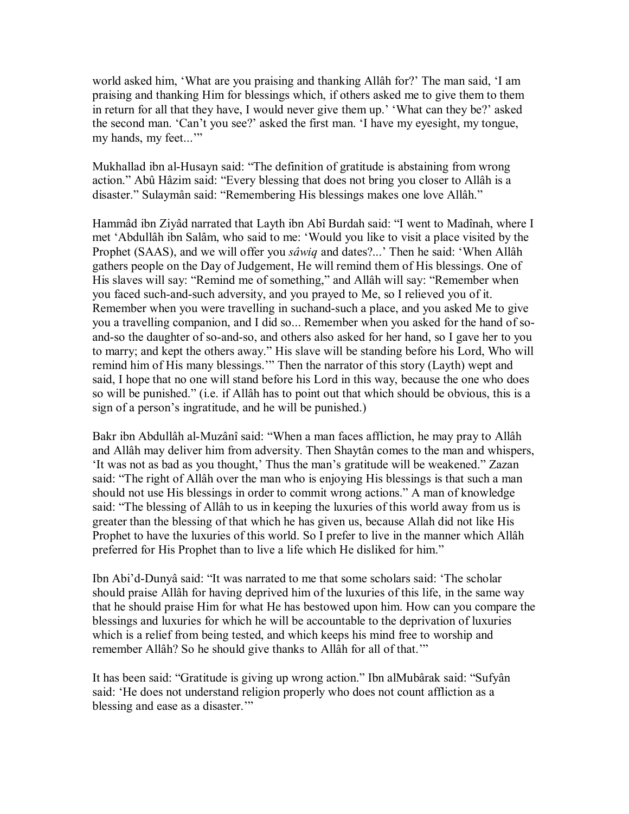world asked him, 'What are you praising and thanking Allâh for?' The man said, 'I am praising and thanking Him for blessings which, if others asked me to give them to them in return for all that they have, I would never give them up.' 'What can they be?' asked the second man. 'Can't you see?' asked the first man. 'I have my eyesight, my tongue, my hands, my feet...'"

Mukhallad ibn al-Husayn said: "The definition of gratitude is abstaining from wrong action." Abû Hâzim said: "Every blessing that does not bring you closer to Allâh is a disaster." Sulaymân said: "Remembering His blessings makes one love Allâh."

Hammâd ibn Ziyâd narrated that Layth ibn Abî Burdah said: "I went to Madînah, where I met 'Abdullâh ibn Salâm, who said to me: 'Would you like to visit a place visited by the Prophet (SAAS), and we will offer you *sâwiq* and dates?...' Then he said: 'When Allâh gathers people on the Day of Judgement, He will remind them of His blessings. One of His slaves will say: "Remind me of something," and Allâh will say: "Remember when you faced such-and-such adversity, and you prayed to Me, so I relieved you of it. Remember when you were travelling in suchand-such a place, and you asked Me to give you a travelling companion, and I did so... Remember when you asked for the hand of soand-so the daughter of so-and-so, and others also asked for her hand, so I gave her to you to marry; and kept the others away." His slave will be standing before his Lord, Who will remind him of His many blessings.'" Then the narrator of this story (Layth) wept and said, I hope that no one will stand before his Lord in this way, because the one who does so will be punished." (i.e. if Allâh has to point out that which should be obvious, this is a sign of a person's ingratitude, and he will be punished.)

Bakr ibn Abdullâh al-Muzânî said: "When a man faces affliction, he may pray to Allâh and Allâh may deliver him from adversity. Then Shaytân comes to the man and whispers, 'It was not as bad as you thought,' Thus the man's gratitude will be weakened." Zazan said: "The right of Allâh over the man who is enjoying His blessings is that such a man should not use His blessings in order to commit wrong actions." A man of knowledge said: "The blessing of Allâh to us in keeping the luxuries of this world away from us is greater than the blessing of that which he has given us, because Allah did not like His Prophet to have the luxuries of this world. So I prefer to live in the manner which Allâh preferred for His Prophet than to live a life which He disliked for him."

Ibn Abi'd-Dunyâ said: "It was narrated to me that some scholars said: 'The scholar should praise Allâh for having deprived him of the luxuries of this life, in the same way that he should praise Him for what He has bestowed upon him. How can you compare the blessings and luxuries for which he will be accountable to the deprivation of luxuries which is a relief from being tested, and which keeps his mind free to worship and remember Allâh? So he should give thanks to Allâh for all of that.'"

It has been said: "Gratitude is giving up wrong action." Ibn alMubârak said: "Sufyân said: 'He does not understand religion properly who does not count affliction as a blessing and ease as a disaster.'"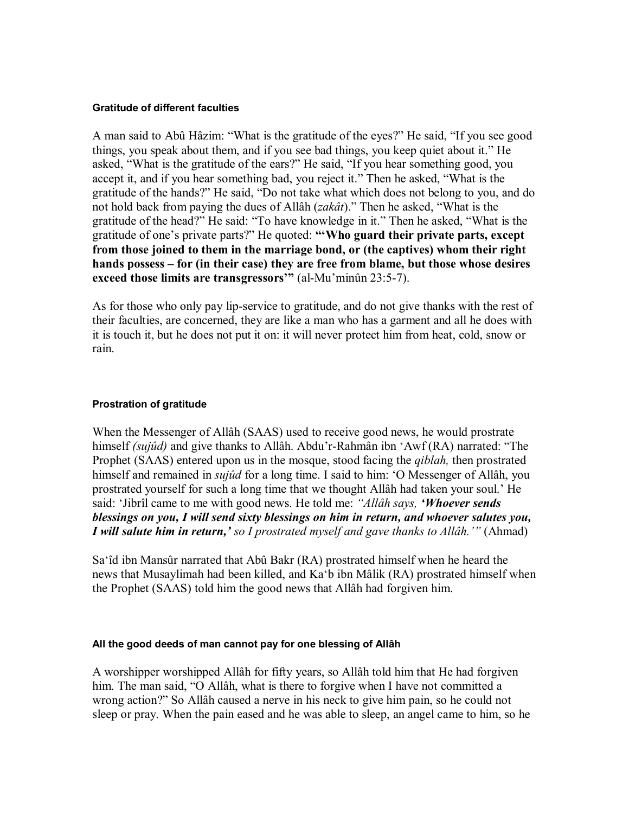#### **Gratitude of different faculties**

A man said to Abû Hâzim: "What is the gratitude of the eyes?" He said, "If you see good things, you speak about them, and if you see bad things, you keep quiet about it." He asked, "What is the gratitude of the ears?" He said, "If you hear something good, you accept it, and if you hear something bad, you reject it." Then he asked, "What is the gratitude of the hands?" He said, "Do not take what which does not belong to you, and do not hold back from paying the dues of Allâh (*zakât*)." Then he asked, "What is the gratitude of the head?" He said: "To have knowledge in it." Then he asked, "What is the gratitude of one's private parts?" He quoted: **"'Who guard their private parts, except from those joined to them in the marriage bond, or (the captives) whom their right hands possess – for (in their case) they are free from blame, but those whose desires exceed those limits are transgressors'"** (al-Mu'minûn 23:5-7).

As for those who only pay lip-service to gratitude, and do not give thanks with the rest of their faculties, are concerned, they are like a man who has a garment and all he does with it is touch it, but he does not put it on: it will never protect him from heat, cold, snow or rain.

### **Prostration of gratitude**

When the Messenger of Allâh (SAAS) used to receive good news, he would prostrate himself *(sujûd)* and give thanks to Allâh. Abdu'r-Rahmân ibn 'Awf (RA) narrated: "The Prophet (SAAS) entered upon us in the mosque, stood facing the *qiblah,* then prostrated himself and remained in *sujûd* for a long time. I said to him: 'O Messenger of Allâh, you prostrated yourself for such a long time that we thought Allâh had taken your soul.' He said: 'Jibrîl came to me with good news. He told me: *"Allâh says, 'Whoever sends blessings on you, I will send sixty blessings on him in return, and whoever salutes you, I will salute him in return,' so I prostrated myself and gave thanks to Allâh.'"* (Ahmad)

Sa'îd ibn Mansûr narrated that Abû Bakr (RA) prostrated himself when he heard the news that Musaylimah had been killed, and Ka'b ibn Mâlik (RA) prostrated himself when the Prophet (SAAS) told him the good news that Allâh had forgiven him.

#### **All the good deeds of man cannot pay for one blessing of Allâh**

A worshipper worshipped Allâh for fifty years, so Allâh told him that He had forgiven him. The man said, "O Allâh, what is there to forgive when I have not committed a wrong action?" So Allâh caused a nerve in his neck to give him pain, so he could not sleep or pray. When the pain eased and he was able to sleep, an angel came to him, so he